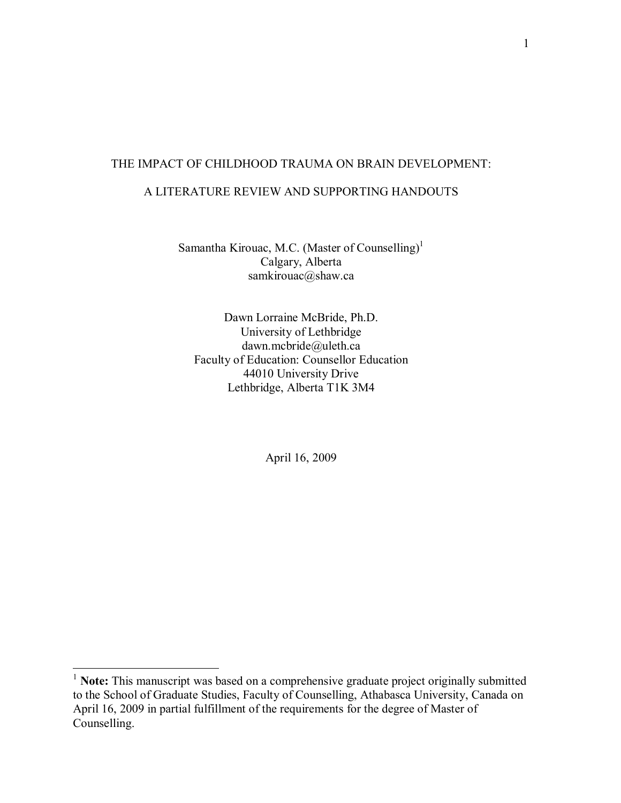# THE IMPACT OF CHILDHOOD TRAUMA ON BRAIN DEVELOPMENT:

# A LITERATURE REVIEW AND SUPPORTING HANDOUTS

Samantha Kirouac, M.C. (Master of Counselling)<sup>1</sup> Calgary, Alberta samkirouac@shaw.ca

Dawn Lorraine McBride, Ph.D. University of Lethbridge dawn.mcbride@uleth.ca Faculty of Education: Counsellor Education 44010 University Drive Lethbridge, Alberta T1K 3M4

April 16, 2009

<u>.</u>

<sup>&</sup>lt;sup>1</sup> Note: This manuscript was based on a comprehensive graduate project originally submitted to the School of Graduate Studies, Faculty of Counselling, Athabasca University, Canada on April 16, 2009 in partial fulfillment of the requirements for the degree of Master of Counselling.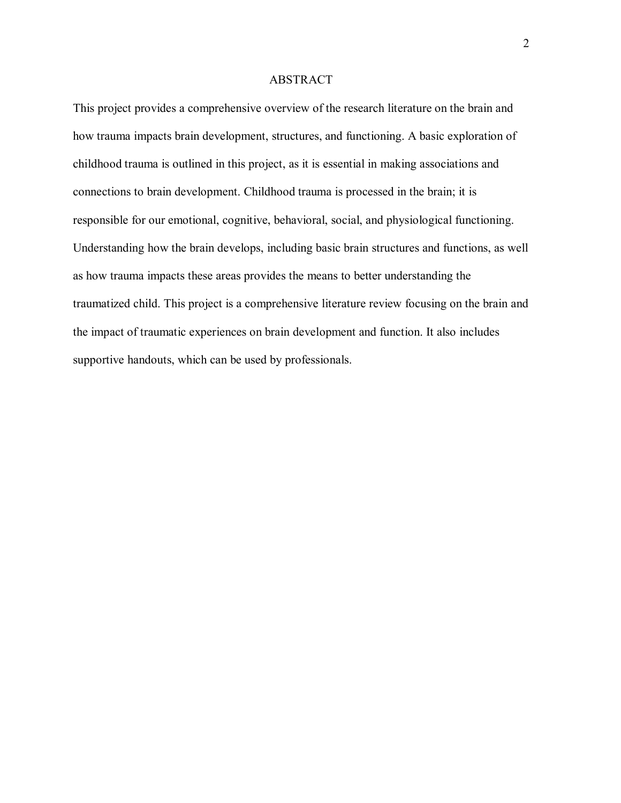## ABSTRACT

This project provides a comprehensive overview of the research literature on the brain and how trauma impacts brain development, structures, and functioning. A basic exploration of childhood trauma is outlined in this project, as it is essential in making associations and connections to brain development. Childhood trauma is processed in the brain; it is responsible for our emotional, cognitive, behavioral, social, and physiological functioning. Understanding how the brain develops, including basic brain structures and functions, as well as how trauma impacts these areas provides the means to better understanding the traumatized child. This project is a comprehensive literature review focusing on the brain and the impact of traumatic experiences on brain development and function. It also includes supportive handouts, which can be used by professionals.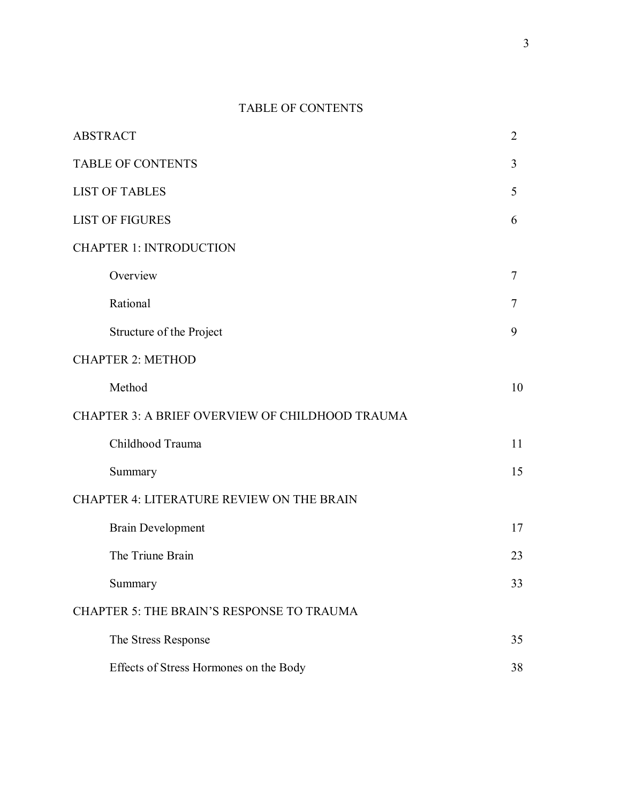# TABLE OF CONTENTS

| <b>ABSTRACT</b>                                        | $\overline{2}$ |
|--------------------------------------------------------|----------------|
| <b>TABLE OF CONTENTS</b>                               | 3              |
| <b>LIST OF TABLES</b>                                  | 5              |
| <b>LIST OF FIGURES</b>                                 | 6              |
| <b>CHAPTER 1: INTRODUCTION</b>                         |                |
| Overview                                               | 7              |
| Rational                                               | 7              |
| Structure of the Project                               | 9              |
| <b>CHAPTER 2: METHOD</b>                               |                |
| Method                                                 | 10             |
| <b>CHAPTER 3: A BRIEF OVERVIEW OF CHILDHOOD TRAUMA</b> |                |
| Childhood Trauma                                       | 11             |
| Summary                                                | 15             |
| <b>CHAPTER 4: LITERATURE REVIEW ON THE BRAIN</b>       |                |
| <b>Brain Development</b>                               | 17             |
| The Triune Brain                                       | 23             |
| Summary                                                | 33             |
| <b>CHAPTER 5: THE BRAIN'S RESPONSE TO TRAUMA</b>       |                |
| The Stress Response                                    | 35             |
| Effects of Stress Hormones on the Body                 | 38             |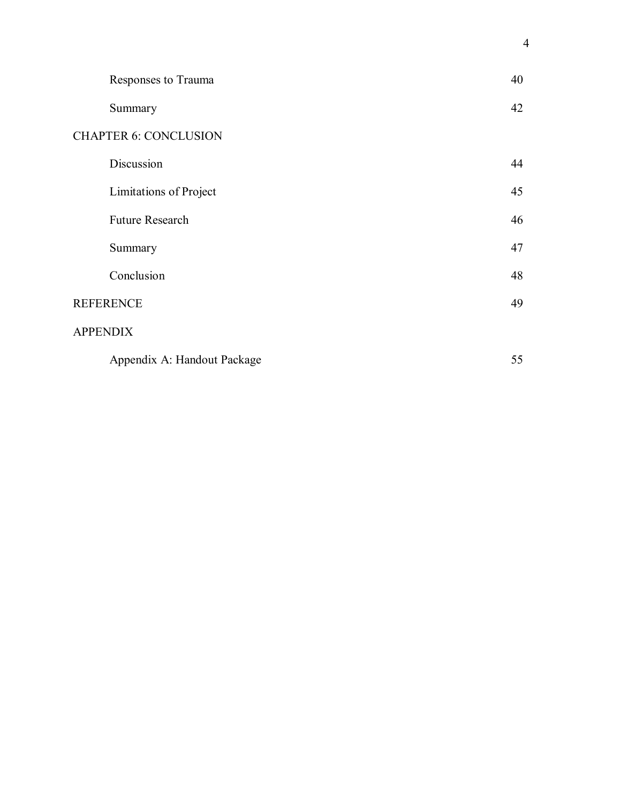| Responses to Trauma          | 40 |
|------------------------------|----|
| Summary                      | 42 |
| <b>CHAPTER 6: CONCLUSION</b> |    |
| Discussion                   | 44 |
| Limitations of Project       | 45 |
| <b>Future Research</b>       | 46 |
| Summary                      | 47 |
| Conclusion                   | 48 |
| <b>REFERENCE</b>             | 49 |
| <b>APPENDIX</b>              |    |
| Appendix A: Handout Package  | 55 |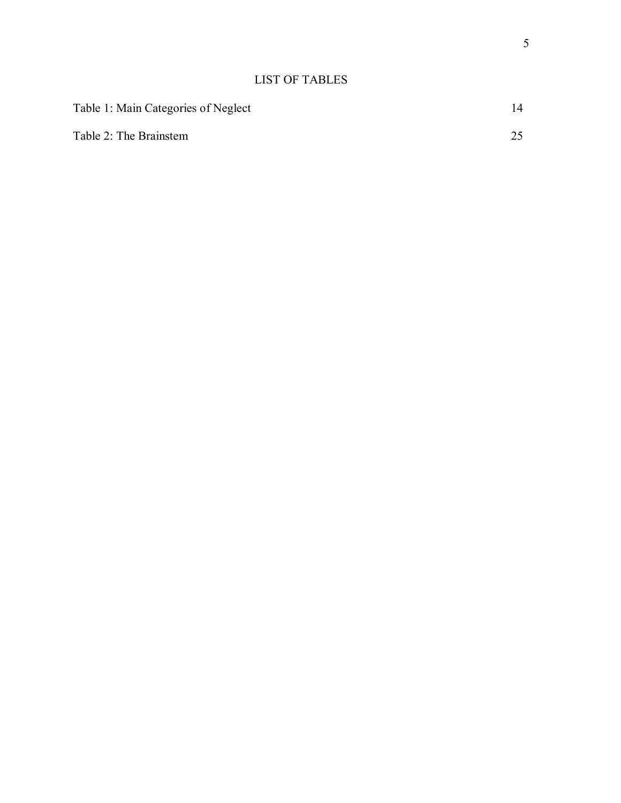| Table 1: Main Categories of Neglect | 14 |
|-------------------------------------|----|
| Table 2: The Brainstem              | 25 |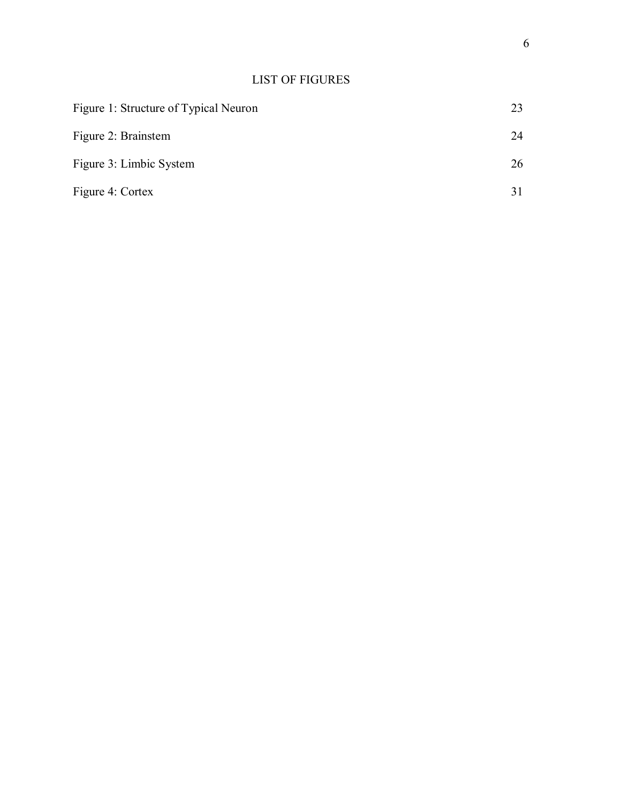# LIST OF FIGURES

| Figure 1: Structure of Typical Neuron | 23 |
|---------------------------------------|----|
| Figure 2: Brainstem                   | 24 |
| Figure 3: Limbic System               | 26 |
| Figure 4: Cortex                      |    |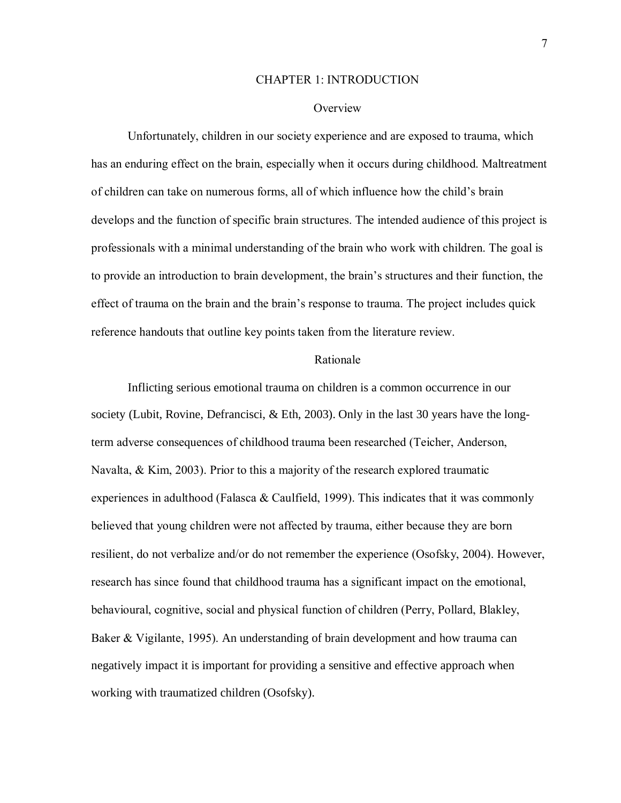#### CHAPTER 1: INTRODUCTION

#### **Overview**

Unfortunately, children in our society experience and are exposed to trauma, which has an enduring effect on the brain, especially when it occurs during childhood. Maltreatment of children can take on numerous forms, all of which influence how the child's brain develops and the function of specific brain structures. The intended audience of this project is professionals with a minimal understanding of the brain who work with children. The goal is to provide an introduction to brain development, the brain's structures and their function, the effect of trauma on the brain and the brain's response to trauma. The project includes quick reference handouts that outline key points taken from the literature review.

## Rationale

Inflicting serious emotional trauma on children is a common occurrence in our society (Lubit, Rovine, Defrancisci, & Eth, 2003). Only in the last 30 years have the longterm adverse consequences of childhood trauma been researched (Teicher, Anderson, Navalta, & Kim, 2003). Prior to this a majority of the research explored traumatic experiences in adulthood (Falasca & Caulfield, 1999). This indicates that it was commonly believed that young children were not affected by trauma, either because they are born resilient, do not verbalize and/or do not remember the experience (Osofsky, 2004). However, research has since found that childhood trauma has a significant impact on the emotional, behavioural, cognitive, social and physical function of children (Perry, Pollard, Blakley, Baker & Vigilante, 1995). An understanding of brain development and how trauma can negatively impact it is important for providing a sensitive and effective approach when working with traumatized children (Osofsky).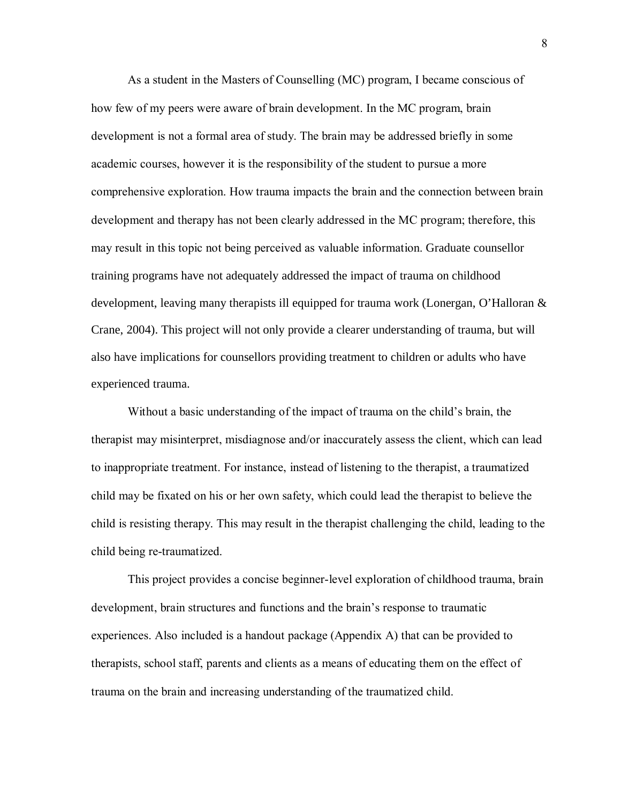As a student in the Masters of Counselling (MC) program, I became conscious of how few of my peers were aware of brain development. In the MC program, brain development is not a formal area of study. The brain may be addressed briefly in some academic courses, however it is the responsibility of the student to pursue a more comprehensive exploration. How trauma impacts the brain and the connection between brain development and therapy has not been clearly addressed in the MC program; therefore, this may result in this topic not being perceived as valuable information. Graduate counsellor training programs have not adequately addressed the impact of trauma on childhood development, leaving many therapists ill equipped for trauma work (Lonergan, O'Halloran & Crane, 2004). This project will not only provide a clearer understanding of trauma, but will also have implications for counsellors providing treatment to children or adults who have experienced trauma.

Without a basic understanding of the impact of trauma on the child's brain, the therapist may misinterpret, misdiagnose and/or inaccurately assess the client, which can lead to inappropriate treatment. For instance, instead of listening to the therapist, a traumatized child may be fixated on his or her own safety, which could lead the therapist to believe the child is resisting therapy. This may result in the therapist challenging the child, leading to the child being re-traumatized.

This project provides a concise beginner-level exploration of childhood trauma, brain development, brain structures and functions and the brain's response to traumatic experiences. Also included is a handout package (Appendix A) that can be provided to therapists, school staff, parents and clients as a means of educating them on the effect of trauma on the brain and increasing understanding of the traumatized child.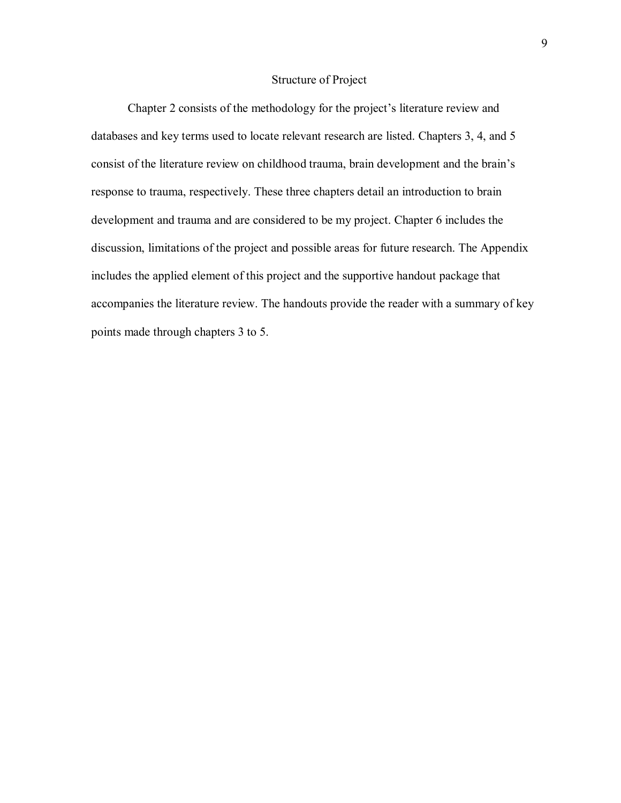## Structure of Project

Chapter 2 consists of the methodology for the project's literature review and databases and key terms used to locate relevant research are listed. Chapters 3, 4, and 5 consist of the literature review on childhood trauma, brain development and the brain's response to trauma, respectively. These three chapters detail an introduction to brain development and trauma and are considered to be my project. Chapter 6 includes the discussion, limitations of the project and possible areas for future research. The Appendix includes the applied element of this project and the supportive handout package that accompanies the literature review. The handouts provide the reader with a summary of key points made through chapters 3 to 5.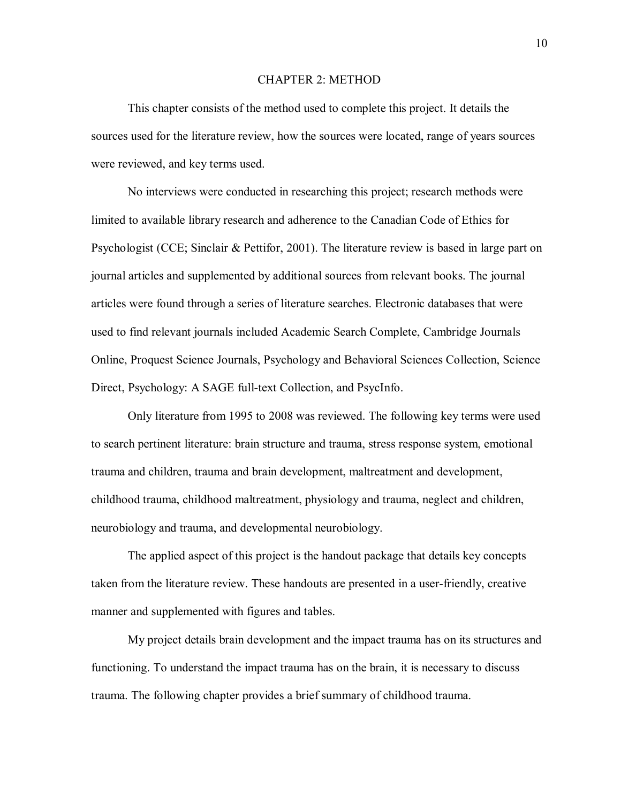#### CHAPTER 2: METHOD

This chapter consists of the method used to complete this project. It details the sources used for the literature review, how the sources were located, range of years sources were reviewed, and key terms used.

No interviews were conducted in researching this project; research methods were limited to available library research and adherence to the Canadian Code of Ethics for Psychologist (CCE; Sinclair & Pettifor, 2001). The literature review is based in large part on journal articles and supplemented by additional sources from relevant books. The journal articles were found through a series of literature searches. Electronic databases that were used to find relevant journals included Academic Search Complete, Cambridge Journals Online, Proquest Science Journals, Psychology and Behavioral Sciences Collection, Science Direct, Psychology: A SAGE full-text Collection, and PsycInfo.

Only literature from 1995 to 2008 was reviewed. The following key terms were used to search pertinent literature: brain structure and trauma, stress response system, emotional trauma and children, trauma and brain development, maltreatment and development, childhood trauma, childhood maltreatment, physiology and trauma, neglect and children, neurobiology and trauma, and developmental neurobiology.

 The applied aspect of this project is the handout package that details key concepts taken from the literature review. These handouts are presented in a user-friendly, creative manner and supplemented with figures and tables.

 My project details brain development and the impact trauma has on its structures and functioning. To understand the impact trauma has on the brain, it is necessary to discuss trauma. The following chapter provides a brief summary of childhood trauma.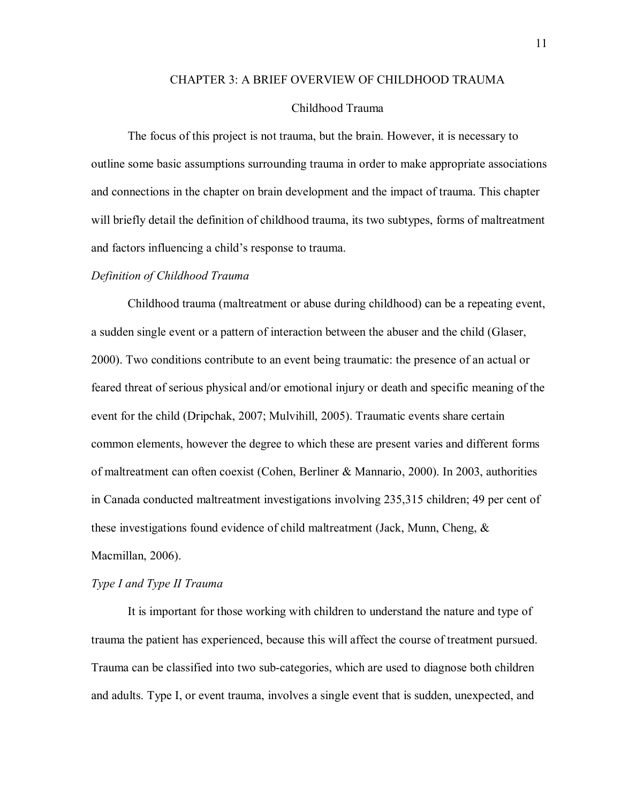#### CHAPTER 3: A BRIEF OVERVIEW OF CHILDHOOD TRAUMA

#### Childhood Trauma

The focus of this project is not trauma, but the brain. However, it is necessary to outline some basic assumptions surrounding trauma in order to make appropriate associations and connections in the chapter on brain development and the impact of trauma. This chapter will briefly detail the definition of childhood trauma, its two subtypes, forms of maltreatment and factors influencing a child's response to trauma.

#### *Definition of Childhood Trauma*

Childhood trauma (maltreatment or abuse during childhood) can be a repeating event, a sudden single event or a pattern of interaction between the abuser and the child (Glaser, 2000). Two conditions contribute to an event being traumatic: the presence of an actual or feared threat of serious physical and/or emotional injury or death and specific meaning of the event for the child (Dripchak, 2007; Mulvihill, 2005). Traumatic events share certain common elements, however the degree to which these are present varies and different forms of maltreatment can often coexist (Cohen, Berliner & Mannario, 2000). In 2003, authorities in Canada conducted maltreatment investigations involving 235,315 children; 49 per cent of these investigations found evidence of child maltreatment (Jack, Munn, Cheng, & Macmillan, 2006).

#### *Type I and Type II Trauma*

It is important for those working with children to understand the nature and type of trauma the patient has experienced, because this will affect the course of treatment pursued. Trauma can be classified into two sub-categories, which are used to diagnose both children and adults. Type I, or event trauma, involves a single event that is sudden, unexpected, and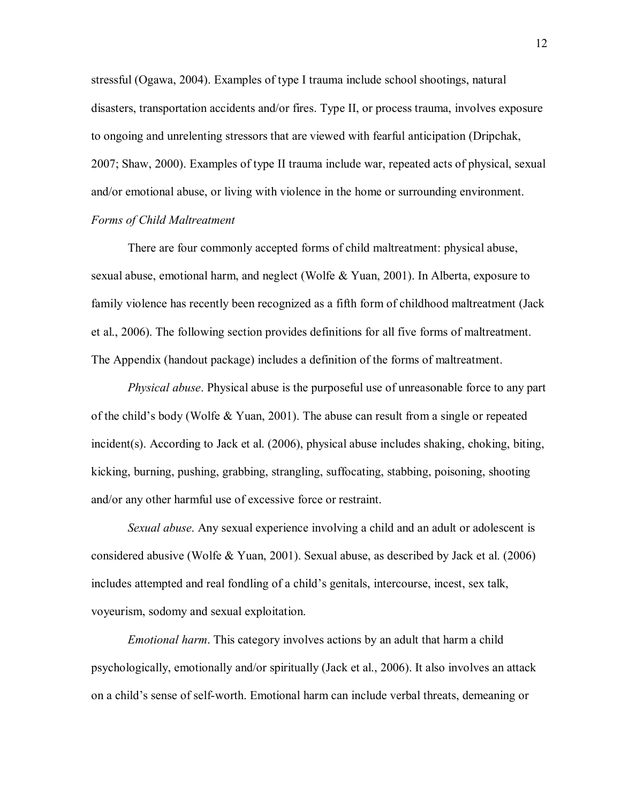stressful (Ogawa, 2004). Examples of type I trauma include school shootings, natural disasters, transportation accidents and/or fires. Type II, or process trauma, involves exposure to ongoing and unrelenting stressors that are viewed with fearful anticipation (Dripchak, 2007; Shaw, 2000). Examples of type II trauma include war, repeated acts of physical, sexual and/or emotional abuse, or living with violence in the home or surrounding environment. *Forms of Child Maltreatment*

There are four commonly accepted forms of child maltreatment: physical abuse, sexual abuse, emotional harm, and neglect (Wolfe & Yuan, 2001). In Alberta, exposure to family violence has recently been recognized as a fifth form of childhood maltreatment (Jack et al., 2006). The following section provides definitions for all five forms of maltreatment. The Appendix (handout package) includes a definition of the forms of maltreatment.

*Physical abuse*. Physical abuse is the purposeful use of unreasonable force to any part of the child's body (Wolfe  $&$  Yuan, 2001). The abuse can result from a single or repeated incident(s). According to Jack et al. (2006), physical abuse includes shaking, choking, biting, kicking, burning, pushing, grabbing, strangling, suffocating, stabbing, poisoning, shooting and/or any other harmful use of excessive force or restraint.

*Sexual abuse*. Any sexual experience involving a child and an adult or adolescent is considered abusive (Wolfe & Yuan, 2001). Sexual abuse, as described by Jack et al. (2006) includes attempted and real fondling of a child's genitals, intercourse, incest, sex talk, voyeurism, sodomy and sexual exploitation.

*Emotional harm*. This category involves actions by an adult that harm a child psychologically, emotionally and/or spiritually (Jack et al., 2006). It also involves an attack on a child's sense of self-worth. Emotional harm can include verbal threats, demeaning or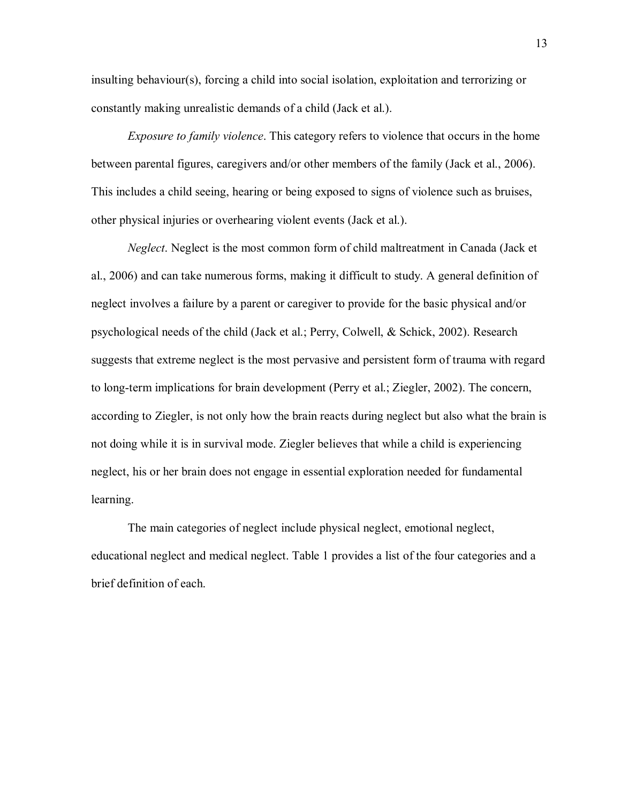insulting behaviour(s), forcing a child into social isolation, exploitation and terrorizing or constantly making unrealistic demands of a child (Jack et al.).

*Exposure to family violence*. This category refers to violence that occurs in the home between parental figures, caregivers and/or other members of the family (Jack et al., 2006). This includes a child seeing, hearing or being exposed to signs of violence such as bruises, other physical injuries or overhearing violent events (Jack et al.).

*Neglect*. Neglect is the most common form of child maltreatment in Canada (Jack et al., 2006) and can take numerous forms, making it difficult to study. A general definition of neglect involves a failure by a parent or caregiver to provide for the basic physical and/or psychological needs of the child (Jack et al.; Perry, Colwell, & Schick, 2002). Research suggests that extreme neglect is the most pervasive and persistent form of trauma with regard to long-term implications for brain development (Perry et al.; Ziegler, 2002). The concern, according to Ziegler, is not only how the brain reacts during neglect but also what the brain is not doing while it is in survival mode. Ziegler believes that while a child is experiencing neglect, his or her brain does not engage in essential exploration needed for fundamental learning.

The main categories of neglect include physical neglect, emotional neglect, educational neglect and medical neglect. Table 1 provides a list of the four categories and a brief definition of each.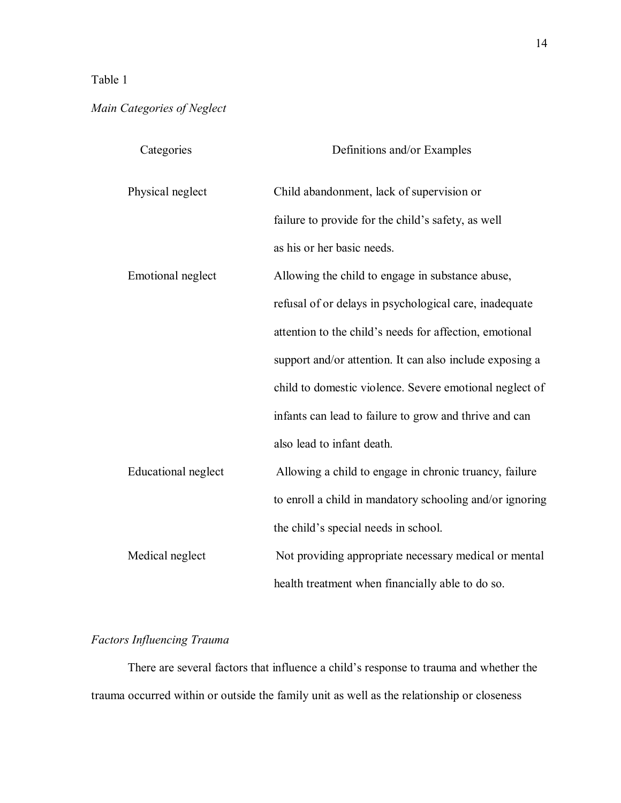# Table 1

# *Main Categories of Neglect*

| Categories          | Definitions and/or Examples                              |
|---------------------|----------------------------------------------------------|
| Physical neglect    | Child abandonment, lack of supervision or                |
|                     | failure to provide for the child's safety, as well       |
|                     | as his or her basic needs.                               |
| Emotional neglect   | Allowing the child to engage in substance abuse,         |
|                     | refusal of or delays in psychological care, inadequate   |
|                     | attention to the child's needs for affection, emotional  |
|                     | support and/or attention. It can also include exposing a |
|                     | child to domestic violence. Severe emotional neglect of  |
|                     | infants can lead to failure to grow and thrive and can   |
|                     | also lead to infant death.                               |
| Educational neglect | Allowing a child to engage in chronic truancy, failure   |
|                     | to enroll a child in mandatory schooling and/or ignoring |
|                     | the child's special needs in school.                     |
| Medical neglect     | Not providing appropriate necessary medical or mental    |
|                     | health treatment when financially able to do so.         |

# *Factors Influencing Trauma*

There are several factors that influence a child's response to trauma and whether the trauma occurred within or outside the family unit as well as the relationship or closeness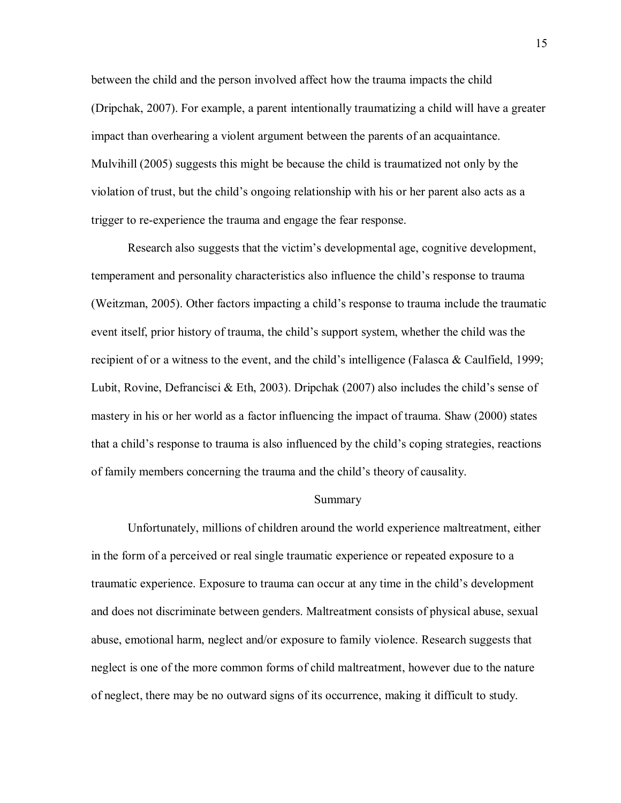between the child and the person involved affect how the trauma impacts the child (Dripchak, 2007). For example, a parent intentionally traumatizing a child will have a greater impact than overhearing a violent argument between the parents of an acquaintance. Mulvihill (2005) suggests this might be because the child is traumatized not only by the violation of trust, but the child's ongoing relationship with his or her parent also acts as a trigger to re-experience the trauma and engage the fear response.

Research also suggests that the victim's developmental age, cognitive development, temperament and personality characteristics also influence the child's response to trauma (Weitzman, 2005). Other factors impacting a child's response to trauma include the traumatic event itself, prior history of trauma, the child's support system, whether the child was the recipient of or a witness to the event, and the child's intelligence (Falasca  $&$  Caulfield, 1999; Lubit, Rovine, Defrancisci & Eth, 2003). Dripchak (2007) also includes the child's sense of mastery in his or her world as a factor influencing the impact of trauma. Shaw (2000) states that a child's response to trauma is also influenced by the child's coping strategies, reactions of family members concerning the trauma and the child's theory of causality.

## Summary

Unfortunately, millions of children around the world experience maltreatment, either in the form of a perceived or real single traumatic experience or repeated exposure to a traumatic experience. Exposure to trauma can occur at any time in the child's development and does not discriminate between genders. Maltreatment consists of physical abuse, sexual abuse, emotional harm, neglect and/or exposure to family violence. Research suggests that neglect is one of the more common forms of child maltreatment, however due to the nature of neglect, there may be no outward signs of its occurrence, making it difficult to study.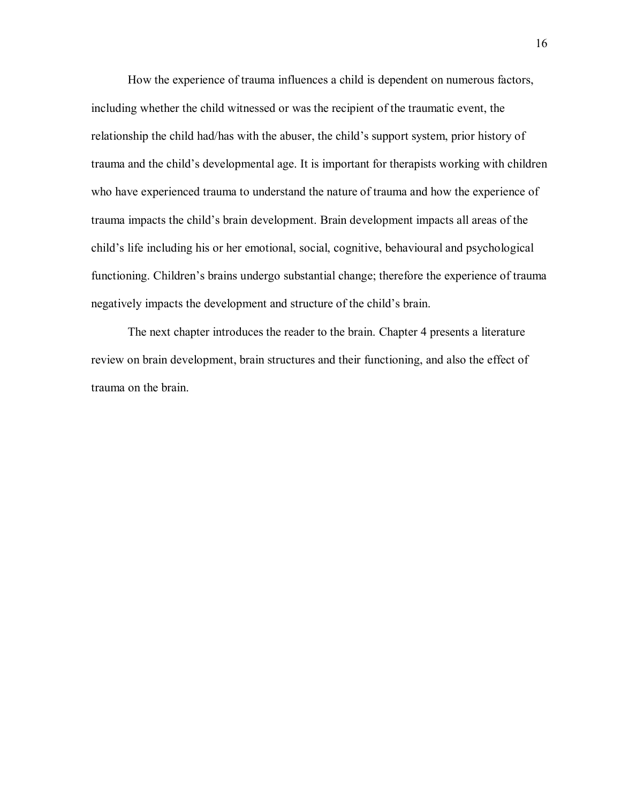How the experience of trauma influences a child is dependent on numerous factors, including whether the child witnessed or was the recipient of the traumatic event, the relationship the child had/has with the abuser, the child's support system, prior history of trauma and the child's developmental age. It is important for therapists working with children who have experienced trauma to understand the nature of trauma and how the experience of trauma impacts the child's brain development. Brain development impacts all areas of the child's life including his or her emotional, social, cognitive, behavioural and psychological functioning. Children's brains undergo substantial change; therefore the experience of trauma negatively impacts the development and structure of the child's brain.

The next chapter introduces the reader to the brain. Chapter 4 presents a literature review on brain development, brain structures and their functioning, and also the effect of trauma on the brain.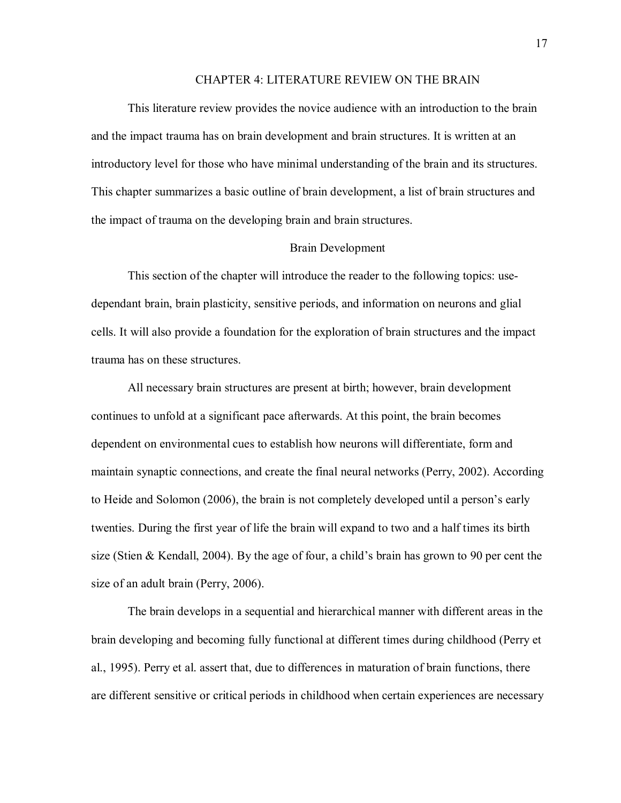#### CHAPTER 4: LITERATURE REVIEW ON THE BRAIN

This literature review provides the novice audience with an introduction to the brain and the impact trauma has on brain development and brain structures. It is written at an introductory level for those who have minimal understanding of the brain and its structures. This chapter summarizes a basic outline of brain development, a list of brain structures and the impact of trauma on the developing brain and brain structures.

#### Brain Development

This section of the chapter will introduce the reader to the following topics: usedependant brain, brain plasticity, sensitive periods, and information on neurons and glial cells. It will also provide a foundation for the exploration of brain structures and the impact trauma has on these structures.

All necessary brain structures are present at birth; however, brain development continues to unfold at a significant pace afterwards. At this point, the brain becomes dependent on environmental cues to establish how neurons will differentiate, form and maintain synaptic connections, and create the final neural networks (Perry, 2002). According to Heide and Solomon (2006), the brain is not completely developed until a person's early twenties. During the first year of life the brain will expand to two and a half times its birth size (Stien & Kendall, 2004). By the age of four, a child's brain has grown to 90 per cent the size of an adult brain (Perry, 2006).

The brain develops in a sequential and hierarchical manner with different areas in the brain developing and becoming fully functional at different times during childhood (Perry et al., 1995). Perry et al. assert that, due to differences in maturation of brain functions, there are different sensitive or critical periods in childhood when certain experiences are necessary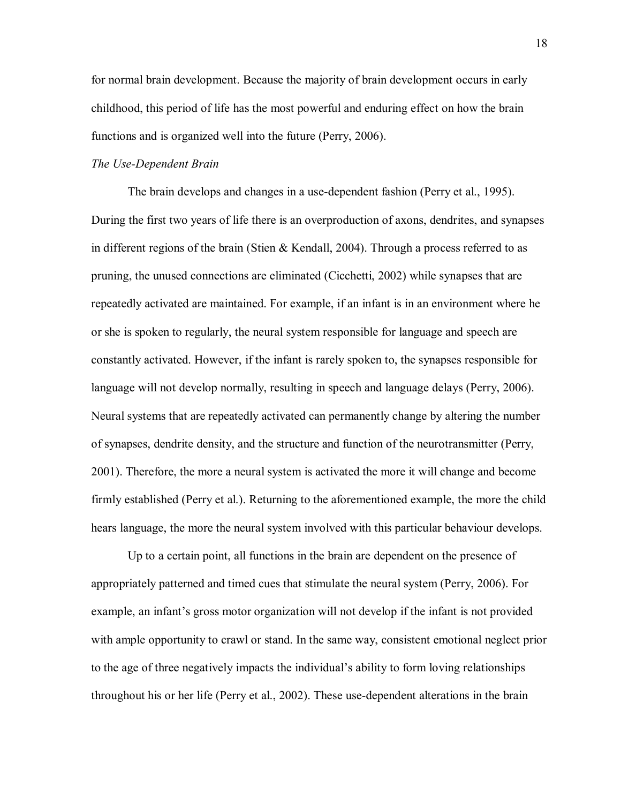for normal brain development. Because the majority of brain development occurs in early childhood, this period of life has the most powerful and enduring effect on how the brain functions and is organized well into the future (Perry, 2006).

## *The Use-Dependent Brain*

The brain develops and changes in a use-dependent fashion (Perry et al., 1995). During the first two years of life there is an overproduction of axons, dendrites, and synapses in different regions of the brain (Stien & Kendall, 2004). Through a process referred to as pruning, the unused connections are eliminated (Cicchetti, 2002) while synapses that are repeatedly activated are maintained. For example, if an infant is in an environment where he or she is spoken to regularly, the neural system responsible for language and speech are constantly activated. However, if the infant is rarely spoken to, the synapses responsible for language will not develop normally, resulting in speech and language delays (Perry, 2006). Neural systems that are repeatedly activated can permanently change by altering the number of synapses, dendrite density, and the structure and function of the neurotransmitter (Perry, 2001). Therefore, the more a neural system is activated the more it will change and become firmly established (Perry et al.). Returning to the aforementioned example, the more the child hears language, the more the neural system involved with this particular behaviour develops.

Up to a certain point, all functions in the brain are dependent on the presence of appropriately patterned and timed cues that stimulate the neural system (Perry, 2006). For example, an infant's gross motor organization will not develop if the infant is not provided with ample opportunity to crawl or stand. In the same way, consistent emotional neglect prior to the age of three negatively impacts the individual's ability to form loving relationships throughout his or her life (Perry et al., 2002). These use-dependent alterations in the brain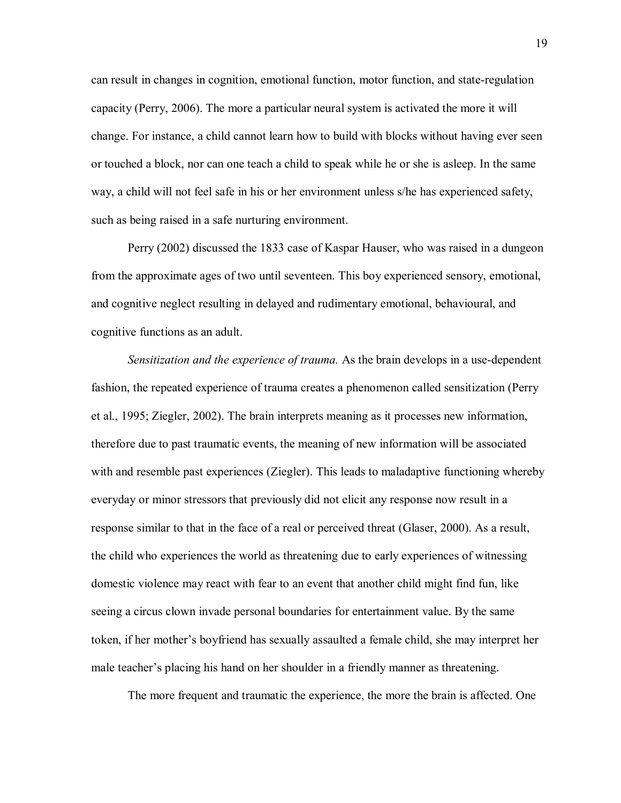can result in changes in cognition, emotional function, motor function, and state-regulation capacity (Perry, 2006). The more a particular neural system is activated the more it will change. For instance, a child cannot learn how to build with blocks without having ever seen or touched a block, nor can one teach a child to speak while he or she is asleep. In the same way, a child will not feel safe in his or her environment unless s/he has experienced safety, such as being raised in a safe nurturing environment.

Perry (2002) discussed the 1833 case of Kaspar Hauser, who was raised in a dungeon from the approximate ages of two until seventeen. This boy experienced sensory, emotional, and cognitive neglect resulting in delayed and rudimentary emotional, behavioural, and cognitive functions as an adult.

*Sensitization and the experience of trauma.* As the brain develops in a use-dependent fashion, the repeated experience of trauma creates a phenomenon called sensitization (Perry et al., 1995; Ziegler, 2002). The brain interprets meaning as it processes new information, therefore due to past traumatic events, the meaning of new information will be associated with and resemble past experiences (Ziegler). This leads to maladaptive functioning whereby everyday or minor stressors that previously did not elicit any response now result in a response similar to that in the face of a real or perceived threat (Glaser, 2000). As a result, the child who experiences the world as threatening due to early experiences of witnessing domestic violence may react with fear to an event that another child might find fun, like seeing a circus clown invade personal boundaries for entertainment value. By the same token, if her motherís boyfriend has sexually assaulted a female child, she may interpret her male teacher's placing his hand on her shoulder in a friendly manner as threatening.

The more frequent and traumatic the experience, the more the brain is affected. One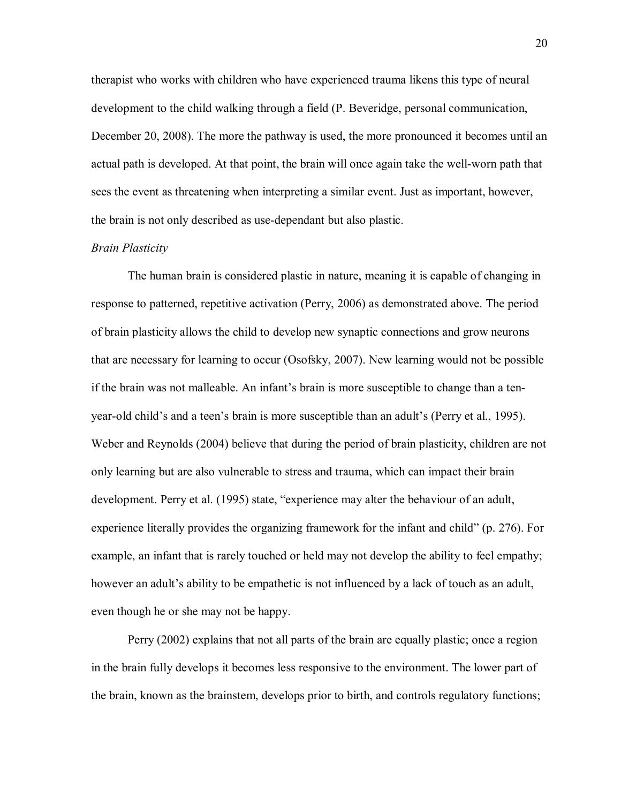therapist who works with children who have experienced trauma likens this type of neural development to the child walking through a field (P. Beveridge, personal communication, December 20, 2008). The more the pathway is used, the more pronounced it becomes until an actual path is developed. At that point, the brain will once again take the well-worn path that sees the event as threatening when interpreting a similar event. Just as important, however, the brain is not only described as use-dependant but also plastic.

## *Brain Plasticity*

The human brain is considered plastic in nature, meaning it is capable of changing in response to patterned, repetitive activation (Perry, 2006) as demonstrated above. The period of brain plasticity allows the child to develop new synaptic connections and grow neurons that are necessary for learning to occur (Osofsky, 2007). New learning would not be possible if the brain was not malleable. An infant's brain is more susceptible to change than a tenyear-old child's and a teen's brain is more susceptible than an adult's (Perry et al., 1995). Weber and Reynolds (2004) believe that during the period of brain plasticity, children are not only learning but are also vulnerable to stress and trauma, which can impact their brain development. Perry et al. (1995) state, "experience may alter the behaviour of an adult, experience literally provides the organizing framework for the infant and child" (p. 276). For example, an infant that is rarely touched or held may not develop the ability to feel empathy; however an adult's ability to be empathetic is not influenced by a lack of touch as an adult, even though he or she may not be happy.

Perry (2002) explains that not all parts of the brain are equally plastic; once a region in the brain fully develops it becomes less responsive to the environment. The lower part of the brain, known as the brainstem, develops prior to birth, and controls regulatory functions;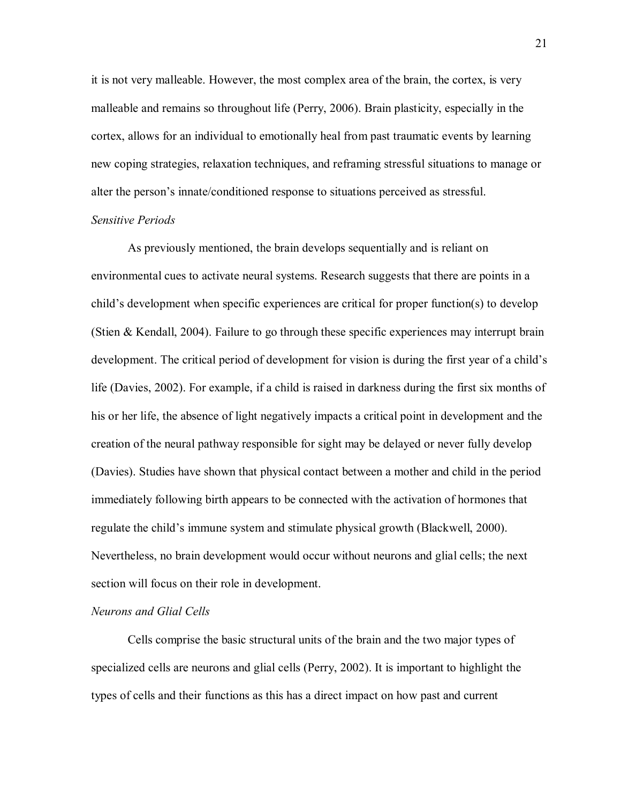it is not very malleable. However, the most complex area of the brain, the cortex, is very malleable and remains so throughout life (Perry, 2006). Brain plasticity, especially in the cortex, allows for an individual to emotionally heal from past traumatic events by learning new coping strategies, relaxation techniques, and reframing stressful situations to manage or alter the person's innate/conditioned response to situations perceived as stressful. *Sensitive Periods* 

# As previously mentioned, the brain develops sequentially and is reliant on environmental cues to activate neural systems. Research suggests that there are points in a child's development when specific experiences are critical for proper function(s) to develop (Stien & Kendall, 2004). Failure to go through these specific experiences may interrupt brain development. The critical period of development for vision is during the first year of a child's life (Davies, 2002). For example, if a child is raised in darkness during the first six months of his or her life, the absence of light negatively impacts a critical point in development and the creation of the neural pathway responsible for sight may be delayed or never fully develop (Davies). Studies have shown that physical contact between a mother and child in the period immediately following birth appears to be connected with the activation of hormones that regulate the child's immune system and stimulate physical growth (Blackwell, 2000). Nevertheless, no brain development would occur without neurons and glial cells; the next section will focus on their role in development.

#### *Neurons and Glial Cells*

Cells comprise the basic structural units of the brain and the two major types of specialized cells are neurons and glial cells (Perry, 2002). It is important to highlight the types of cells and their functions as this has a direct impact on how past and current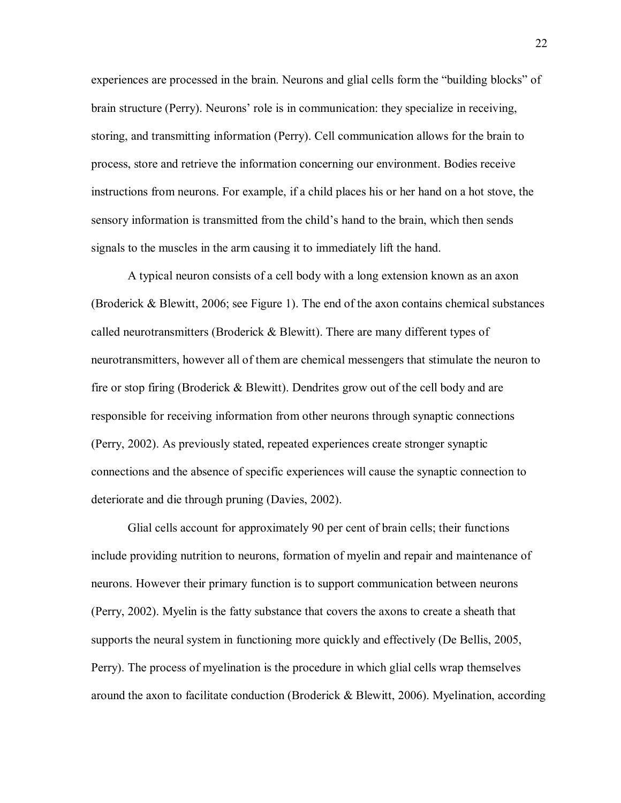experiences are processed in the brain. Neurons and glial cells form the "building blocks" of brain structure (Perry). Neurons' role is in communication: they specialize in receiving, storing, and transmitting information (Perry). Cell communication allows for the brain to process, store and retrieve the information concerning our environment. Bodies receive instructions from neurons. For example, if a child places his or her hand on a hot stove, the sensory information is transmitted from the child's hand to the brain, which then sends signals to the muscles in the arm causing it to immediately lift the hand.

A typical neuron consists of a cell body with a long extension known as an axon (Broderick & Blewitt, 2006; see Figure 1). The end of the axon contains chemical substances called neurotransmitters (Broderick & Blewitt). There are many different types of neurotransmitters, however all of them are chemical messengers that stimulate the neuron to fire or stop firing (Broderick & Blewitt). Dendrites grow out of the cell body and are responsible for receiving information from other neurons through synaptic connections (Perry, 2002). As previously stated, repeated experiences create stronger synaptic connections and the absence of specific experiences will cause the synaptic connection to deteriorate and die through pruning (Davies, 2002).

Glial cells account for approximately 90 per cent of brain cells; their functions include providing nutrition to neurons, formation of myelin and repair and maintenance of neurons. However their primary function is to support communication between neurons (Perry, 2002). Myelin is the fatty substance that covers the axons to create a sheath that supports the neural system in functioning more quickly and effectively (De Bellis, 2005, Perry). The process of myelination is the procedure in which glial cells wrap themselves around the axon to facilitate conduction (Broderick  $\&$  Blewitt, 2006). Myelination, according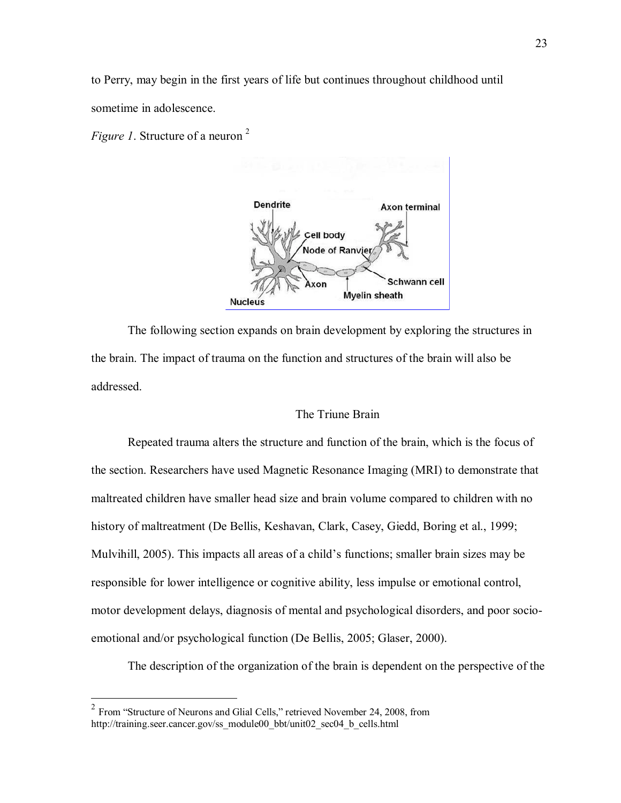to Perry, may begin in the first years of life but continues throughout childhood until sometime in adolescence.

*Figure 1.* Structure of a neuron<sup>2</sup>



The following section expands on brain development by exploring the structures in the brain. The impact of trauma on the function and structures of the brain will also be addressed.

# The Triune Brain

Repeated trauma alters the structure and function of the brain, which is the focus of the section. Researchers have used Magnetic Resonance Imaging (MRI) to demonstrate that maltreated children have smaller head size and brain volume compared to children with no history of maltreatment (De Bellis, Keshavan, Clark, Casey, Giedd, Boring et al., 1999; Mulvihill, 2005). This impacts all areas of a child's functions; smaller brain sizes may be responsible for lower intelligence or cognitive ability, less impulse or emotional control, motor development delays, diagnosis of mental and psychological disorders, and poor socioemotional and/or psychological function (De Bellis, 2005; Glaser, 2000).

The description of the organization of the brain is dependent on the perspective of the

 $\overline{a}$ 

 $2^2$  From "Structure of Neurons and Glial Cells," retrieved November 24, 2008, from http://training.seer.cancer.gov/ss\_module00\_bbt/unit02\_sec04\_b\_cells.html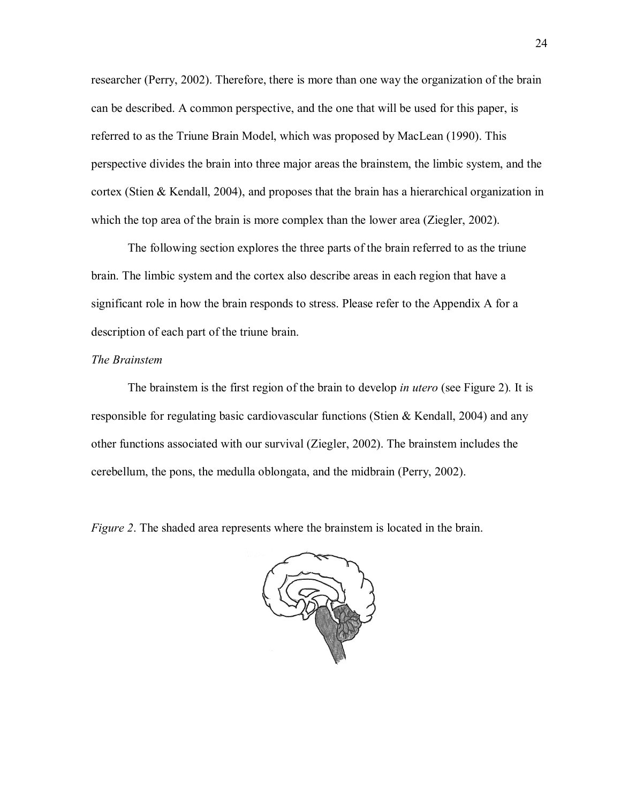researcher (Perry, 2002). Therefore, there is more than one way the organization of the brain can be described. A common perspective, and the one that will be used for this paper, is referred to as the Triune Brain Model, which was proposed by MacLean (1990). This perspective divides the brain into three major areas the brainstem, the limbic system, and the cortex (Stien & Kendall, 2004), and proposes that the brain has a hierarchical organization in which the top area of the brain is more complex than the lower area (Ziegler, 2002).

The following section explores the three parts of the brain referred to as the triune brain. The limbic system and the cortex also describe areas in each region that have a significant role in how the brain responds to stress. Please refer to the Appendix A for a description of each part of the triune brain.

#### *The Brainstem*

The brainstem is the first region of the brain to develop *in utero* (see Figure 2)*.* It is responsible for regulating basic cardiovascular functions (Stien & Kendall, 2004) and any other functions associated with our survival (Ziegler, 2002). The brainstem includes the cerebellum, the pons, the medulla oblongata, and the midbrain (Perry, 2002).

*Figure 2.* The shaded area represents where the brainstem is located in the brain.

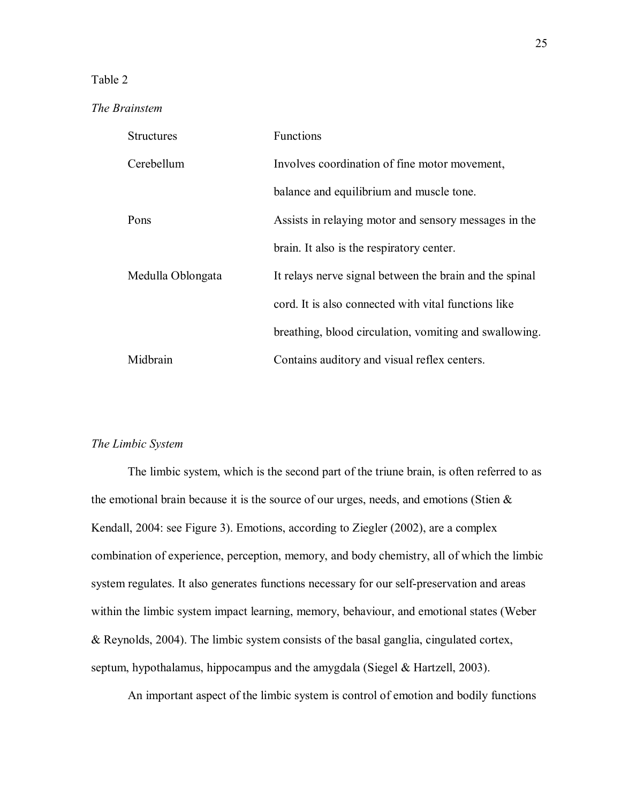# Table 2

# *The Brainstem*

| <b>Structures</b> | <b>Functions</b>                                        |
|-------------------|---------------------------------------------------------|
| Cerebellum        | Involves coordination of fine motor movement,           |
|                   | balance and equilibrium and muscle tone.                |
| Pons              | Assists in relaying motor and sensory messages in the   |
|                   | brain. It also is the respiratory center.               |
| Medulla Oblongata | It relays nerve signal between the brain and the spinal |
|                   | cord. It is also connected with vital functions like    |
|                   | breathing, blood circulation, vomiting and swallowing.  |
| Midbrain          | Contains auditory and visual reflex centers.            |

#### *The Limbic System*

The limbic system, which is the second part of the triune brain, is often referred to as the emotional brain because it is the source of our urges, needs, and emotions (Stien  $\&$ Kendall, 2004: see Figure 3). Emotions, according to Ziegler (2002), are a complex combination of experience, perception, memory, and body chemistry, all of which the limbic system regulates. It also generates functions necessary for our self-preservation and areas within the limbic system impact learning, memory, behaviour, and emotional states (Weber & Reynolds, 2004). The limbic system consists of the basal ganglia, cingulated cortex, septum, hypothalamus, hippocampus and the amygdala (Siegel & Hartzell, 2003).

An important aspect of the limbic system is control of emotion and bodily functions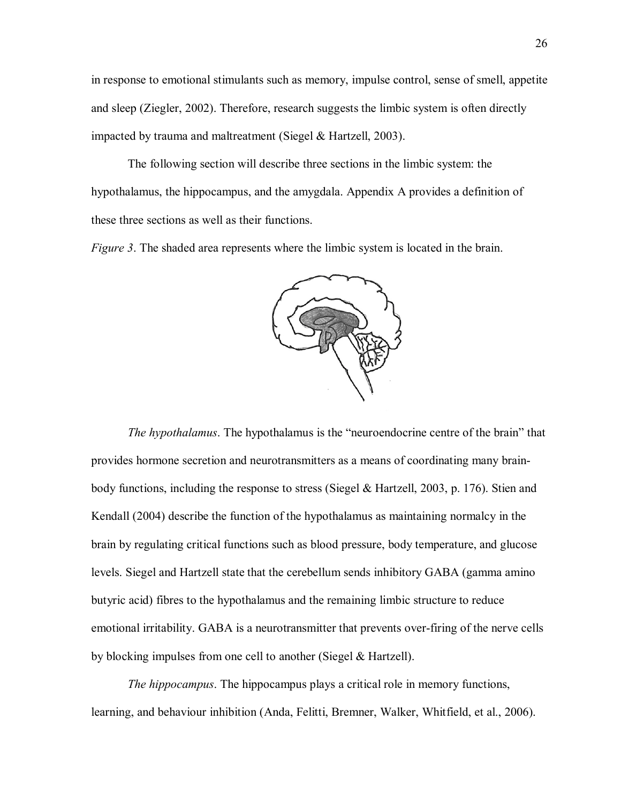in response to emotional stimulants such as memory, impulse control, sense of smell, appetite and sleep (Ziegler, 2002). Therefore, research suggests the limbic system is often directly impacted by trauma and maltreatment (Siegel & Hartzell, 2003).

The following section will describe three sections in the limbic system: the hypothalamus, the hippocampus, and the amygdala. Appendix A provides a definition of these three sections as well as their functions.

*Figure 3*. The shaded area represents where the limbic system is located in the brain.



*The hypothalamus*. The hypothalamus is the "neuroendocrine centre of the brain" that provides hormone secretion and neurotransmitters as a means of coordinating many brainbody functions, including the response to stress (Siegel & Hartzell, 2003, p. 176). Stien and Kendall (2004) describe the function of the hypothalamus as maintaining normalcy in the brain by regulating critical functions such as blood pressure, body temperature, and glucose levels. Siegel and Hartzell state that the cerebellum sends inhibitory GABA (gamma amino butyric acid) fibres to the hypothalamus and the remaining limbic structure to reduce emotional irritability. GABA is a neurotransmitter that prevents over-firing of the nerve cells by blocking impulses from one cell to another (Siegel & Hartzell).

*The hippocampus*. The hippocampus plays a critical role in memory functions, learning, and behaviour inhibition (Anda, Felitti, Bremner, Walker, Whitfield, et al., 2006).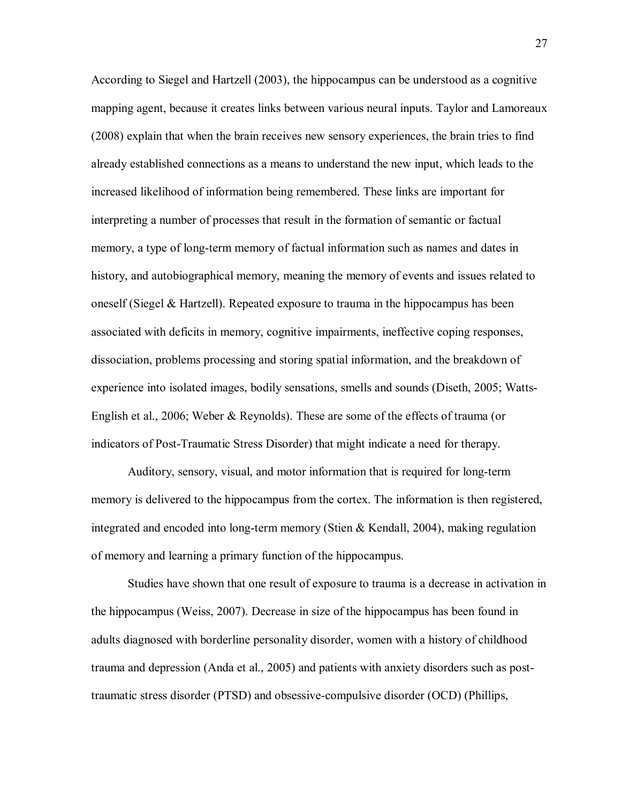According to Siegel and Hartzell (2003), the hippocampus can be understood as a cognitive mapping agent, because it creates links between various neural inputs. Taylor and Lamoreaux (2008) explain that when the brain receives new sensory experiences, the brain tries to find already established connections as a means to understand the new input, which leads to the increased likelihood of information being remembered. These links are important for interpreting a number of processes that result in the formation of semantic or factual memory, a type of long-term memory of factual information such as names and dates in history, and autobiographical memory, meaning the memory of events and issues related to oneself (Siegel & Hartzell). Repeated exposure to trauma in the hippocampus has been associated with deficits in memory, cognitive impairments, ineffective coping responses, dissociation, problems processing and storing spatial information, and the breakdown of experience into isolated images, bodily sensations, smells and sounds (Diseth, 2005; Watts-English et al., 2006; Weber & Reynolds). These are some of the effects of trauma (or indicators of Post-Traumatic Stress Disorder) that might indicate a need for therapy.

Auditory, sensory, visual, and motor information that is required for long-term memory is delivered to the hippocampus from the cortex. The information is then registered, integrated and encoded into long-term memory (Stien & Kendall, 2004), making regulation of memory and learning a primary function of the hippocampus.

Studies have shown that one result of exposure to trauma is a decrease in activation in the hippocampus (Weiss, 2007). Decrease in size of the hippocampus has been found in adults diagnosed with borderline personality disorder, women with a history of childhood trauma and depression (Anda et al., 2005) and patients with anxiety disorders such as posttraumatic stress disorder (PTSD) and obsessive-compulsive disorder (OCD) (Phillips,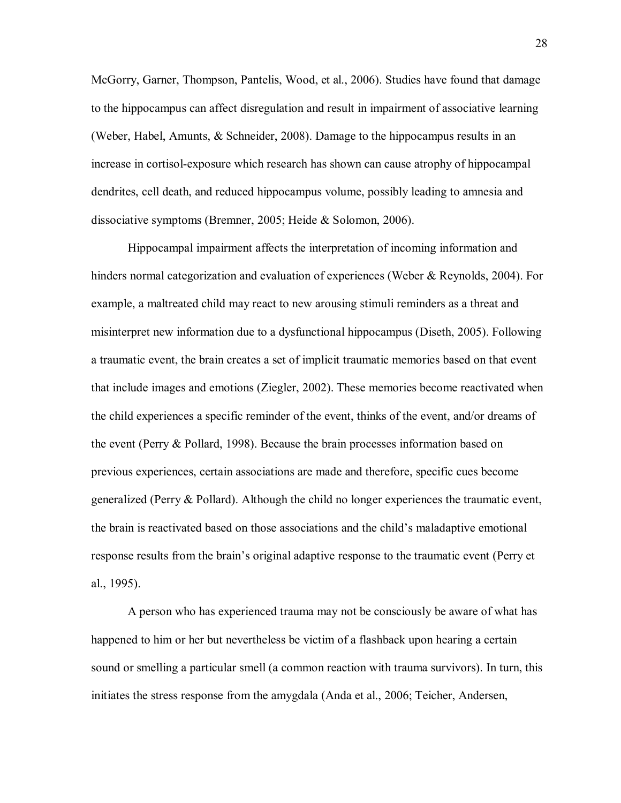McGorry, Garner, Thompson, Pantelis, Wood, et al., 2006). Studies have found that damage to the hippocampus can affect disregulation and result in impairment of associative learning (Weber, Habel, Amunts, & Schneider, 2008). Damage to the hippocampus results in an increase in cortisol-exposure which research has shown can cause atrophy of hippocampal dendrites, cell death, and reduced hippocampus volume, possibly leading to amnesia and dissociative symptoms (Bremner, 2005; Heide & Solomon, 2006).

Hippocampal impairment affects the interpretation of incoming information and hinders normal categorization and evaluation of experiences (Weber & Reynolds, 2004). For example, a maltreated child may react to new arousing stimuli reminders as a threat and misinterpret new information due to a dysfunctional hippocampus (Diseth, 2005). Following a traumatic event, the brain creates a set of implicit traumatic memories based on that event that include images and emotions (Ziegler, 2002). These memories become reactivated when the child experiences a specific reminder of the event, thinks of the event, and/or dreams of the event (Perry & Pollard, 1998). Because the brain processes information based on previous experiences, certain associations are made and therefore, specific cues become generalized (Perry & Pollard). Although the child no longer experiences the traumatic event, the brain is reactivated based on those associations and the child's maladaptive emotional response results from the brain's original adaptive response to the traumatic event (Perry et al., 1995).

A person who has experienced trauma may not be consciously be aware of what has happened to him or her but nevertheless be victim of a flashback upon hearing a certain sound or smelling a particular smell (a common reaction with trauma survivors). In turn, this initiates the stress response from the amygdala (Anda et al., 2006; Teicher, Andersen,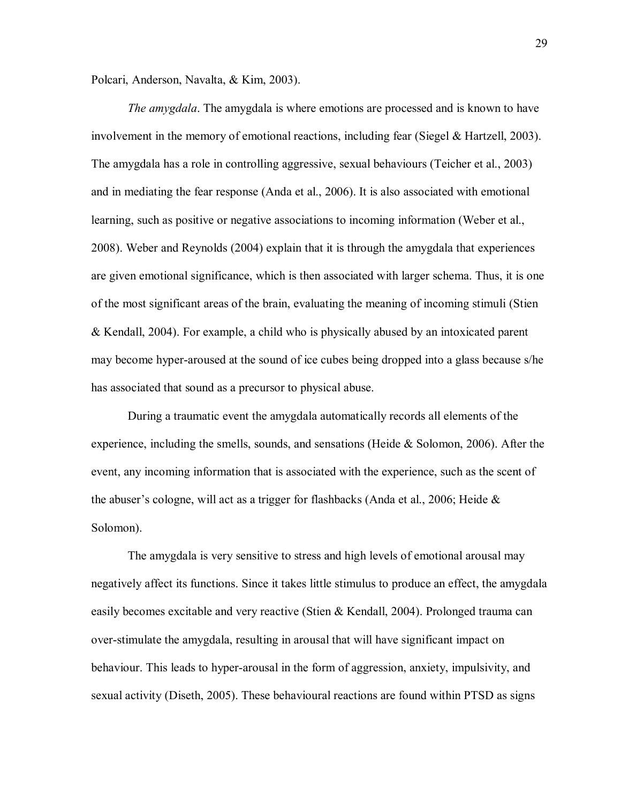Polcari, Anderson, Navalta, & Kim, 2003).

*The amygdala*. The amygdala is where emotions are processed and is known to have involvement in the memory of emotional reactions, including fear (Siegel & Hartzell, 2003). The amygdala has a role in controlling aggressive, sexual behaviours (Teicher et al., 2003) and in mediating the fear response (Anda et al., 2006). It is also associated with emotional learning, such as positive or negative associations to incoming information (Weber et al., 2008). Weber and Reynolds (2004) explain that it is through the amygdala that experiences are given emotional significance, which is then associated with larger schema. Thus, it is one of the most significant areas of the brain, evaluating the meaning of incoming stimuli (Stien & Kendall, 2004). For example, a child who is physically abused by an intoxicated parent may become hyper-aroused at the sound of ice cubes being dropped into a glass because s/he has associated that sound as a precursor to physical abuse.

During a traumatic event the amygdala automatically records all elements of the experience, including the smells, sounds, and sensations (Heide & Solomon, 2006). After the event, any incoming information that is associated with the experience, such as the scent of the abuser's cologne, will act as a trigger for flashbacks (Anda et al., 2006; Heide  $\&$ Solomon).

The amygdala is very sensitive to stress and high levels of emotional arousal may negatively affect its functions. Since it takes little stimulus to produce an effect, the amygdala easily becomes excitable and very reactive (Stien & Kendall, 2004). Prolonged trauma can over-stimulate the amygdala, resulting in arousal that will have significant impact on behaviour. This leads to hyper-arousal in the form of aggression, anxiety, impulsivity, and sexual activity (Diseth, 2005). These behavioural reactions are found within PTSD as signs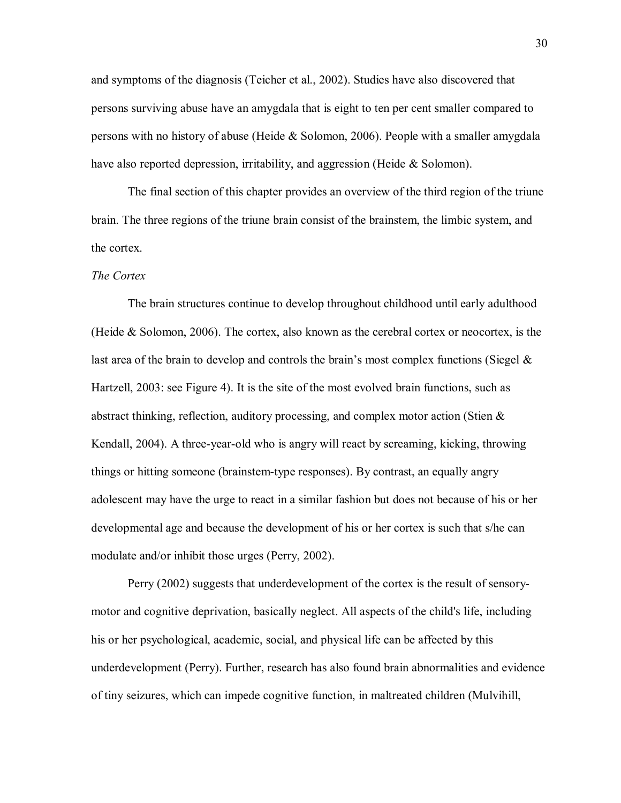and symptoms of the diagnosis (Teicher et al., 2002). Studies have also discovered that persons surviving abuse have an amygdala that is eight to ten per cent smaller compared to persons with no history of abuse (Heide  $&$  Solomon, 2006). People with a smaller amygdala have also reported depression, irritability, and aggression (Heide & Solomon).

The final section of this chapter provides an overview of the third region of the triune brain. The three regions of the triune brain consist of the brainstem, the limbic system, and the cortex.

#### *The Cortex*

The brain structures continue to develop throughout childhood until early adulthood (Heide & Solomon, 2006). The cortex, also known as the cerebral cortex or neocortex, is the last area of the brain to develop and controls the brain's most complex functions (Siegel  $\&$ Hartzell, 2003: see Figure 4). It is the site of the most evolved brain functions, such as abstract thinking, reflection, auditory processing, and complex motor action (Stien & Kendall, 2004). A three-year-old who is angry will react by screaming, kicking, throwing things or hitting someone (brainstem-type responses). By contrast, an equally angry adolescent may have the urge to react in a similar fashion but does not because of his or her developmental age and because the development of his or her cortex is such that s/he can modulate and/or inhibit those urges (Perry, 2002).

Perry (2002) suggests that underdevelopment of the cortex is the result of sensorymotor and cognitive deprivation, basically neglect. All aspects of the child's life, including his or her psychological, academic, social, and physical life can be affected by this underdevelopment (Perry). Further, research has also found brain abnormalities and evidence of tiny seizures, which can impede cognitive function, in maltreated children (Mulvihill,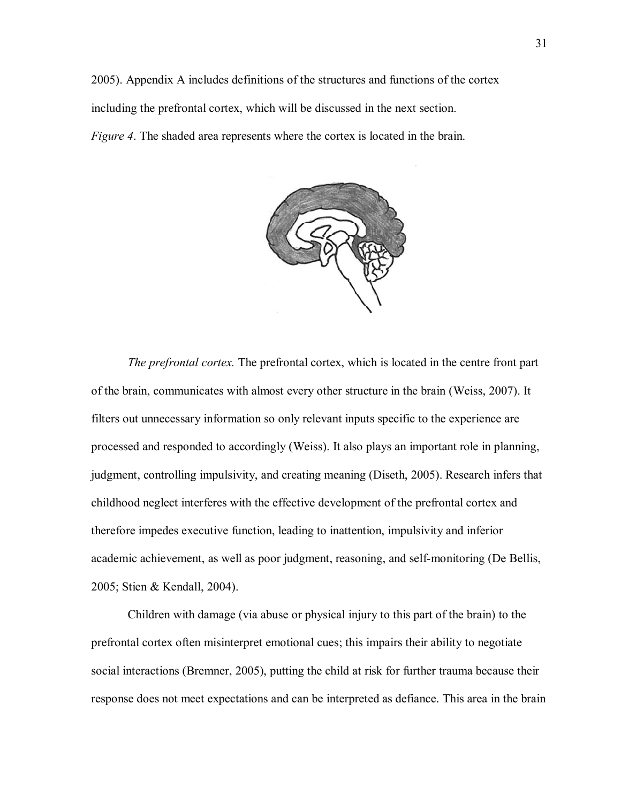2005). Appendix A includes definitions of the structures and functions of the cortex including the prefrontal cortex, which will be discussed in the next section. *Figure 4*. The shaded area represents where the cortex is located in the brain.



*The prefrontal cortex.* The prefrontal cortex, which is located in the centre front part of the brain, communicates with almost every other structure in the brain (Weiss, 2007). It filters out unnecessary information so only relevant inputs specific to the experience are processed and responded to accordingly (Weiss). It also plays an important role in planning, judgment, controlling impulsivity, and creating meaning (Diseth, 2005). Research infers that childhood neglect interferes with the effective development of the prefrontal cortex and therefore impedes executive function, leading to inattention, impulsivity and inferior academic achievement, as well as poor judgment, reasoning, and self-monitoring (De Bellis, 2005; Stien & Kendall, 2004).

Children with damage (via abuse or physical injury to this part of the brain) to the prefrontal cortex often misinterpret emotional cues; this impairs their ability to negotiate social interactions (Bremner, 2005), putting the child at risk for further trauma because their response does not meet expectations and can be interpreted as defiance. This area in the brain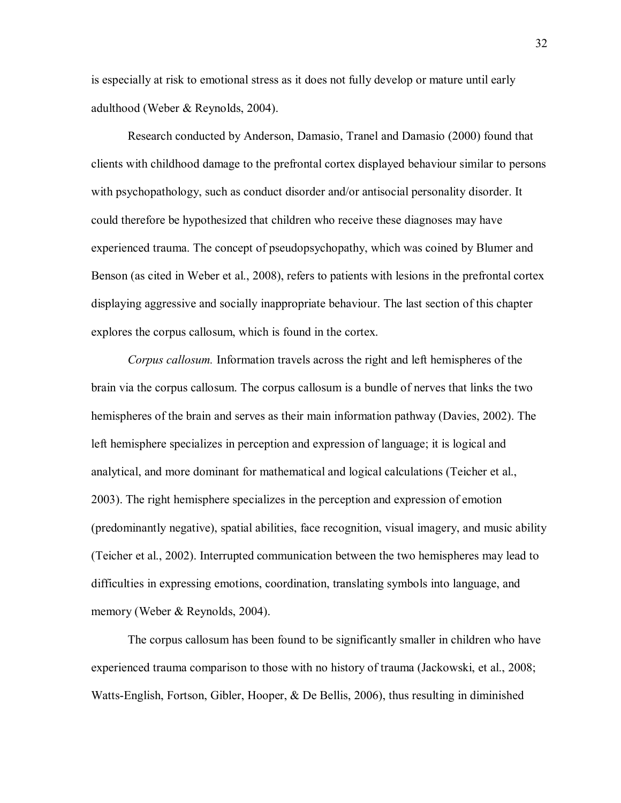is especially at risk to emotional stress as it does not fully develop or mature until early adulthood (Weber & Reynolds, 2004).

Research conducted by Anderson, Damasio, Tranel and Damasio (2000) found that clients with childhood damage to the prefrontal cortex displayed behaviour similar to persons with psychopathology, such as conduct disorder and/or antisocial personality disorder. It could therefore be hypothesized that children who receive these diagnoses may have experienced trauma. The concept of pseudopsychopathy, which was coined by Blumer and Benson (as cited in Weber et al., 2008), refers to patients with lesions in the prefrontal cortex displaying aggressive and socially inappropriate behaviour. The last section of this chapter explores the corpus callosum, which is found in the cortex.

*Corpus callosum.* Information travels across the right and left hemispheres of the brain via the corpus callosum. The corpus callosum is a bundle of nerves that links the two hemispheres of the brain and serves as their main information pathway (Davies, 2002). The left hemisphere specializes in perception and expression of language; it is logical and analytical, and more dominant for mathematical and logical calculations (Teicher et al., 2003). The right hemisphere specializes in the perception and expression of emotion (predominantly negative), spatial abilities, face recognition, visual imagery, and music ability (Teicher et al., 2002). Interrupted communication between the two hemispheres may lead to difficulties in expressing emotions, coordination, translating symbols into language, and memory (Weber & Reynolds, 2004).

The corpus callosum has been found to be significantly smaller in children who have experienced trauma comparison to those with no history of trauma (Jackowski, et al., 2008; Watts-English, Fortson, Gibler, Hooper, & De Bellis, 2006), thus resulting in diminished

32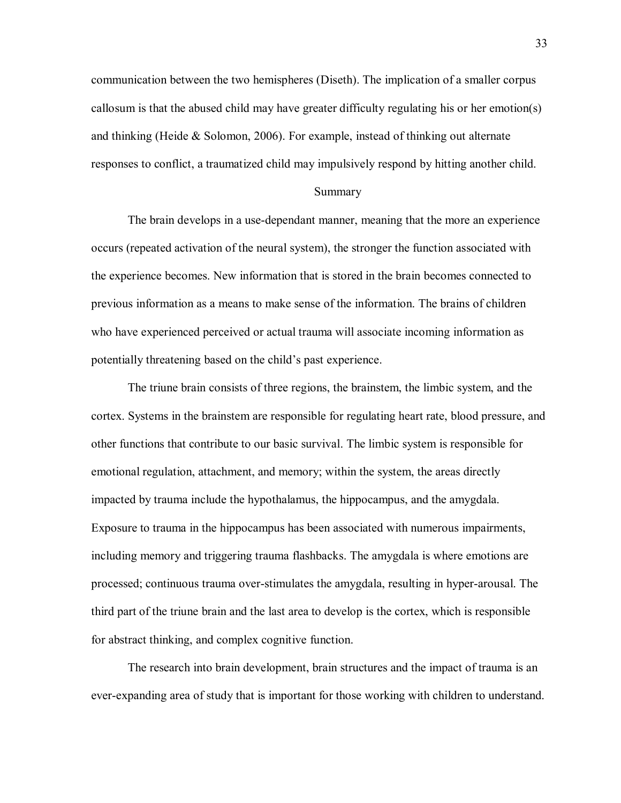communication between the two hemispheres (Diseth). The implication of a smaller corpus callosum is that the abused child may have greater difficulty regulating his or her emotion(s) and thinking (Heide & Solomon, 2006). For example, instead of thinking out alternate responses to conflict, a traumatized child may impulsively respond by hitting another child.

#### Summary

The brain develops in a use-dependant manner, meaning that the more an experience occurs (repeated activation of the neural system), the stronger the function associated with the experience becomes. New information that is stored in the brain becomes connected to previous information as a means to make sense of the information. The brains of children who have experienced perceived or actual trauma will associate incoming information as potentially threatening based on the child's past experience.

The triune brain consists of three regions, the brainstem, the limbic system, and the cortex. Systems in the brainstem are responsible for regulating heart rate, blood pressure, and other functions that contribute to our basic survival. The limbic system is responsible for emotional regulation, attachment, and memory; within the system, the areas directly impacted by trauma include the hypothalamus, the hippocampus, and the amygdala. Exposure to trauma in the hippocampus has been associated with numerous impairments, including memory and triggering trauma flashbacks. The amygdala is where emotions are processed; continuous trauma over-stimulates the amygdala, resulting in hyper-arousal. The third part of the triune brain and the last area to develop is the cortex, which is responsible for abstract thinking, and complex cognitive function.

The research into brain development, brain structures and the impact of trauma is an ever-expanding area of study that is important for those working with children to understand.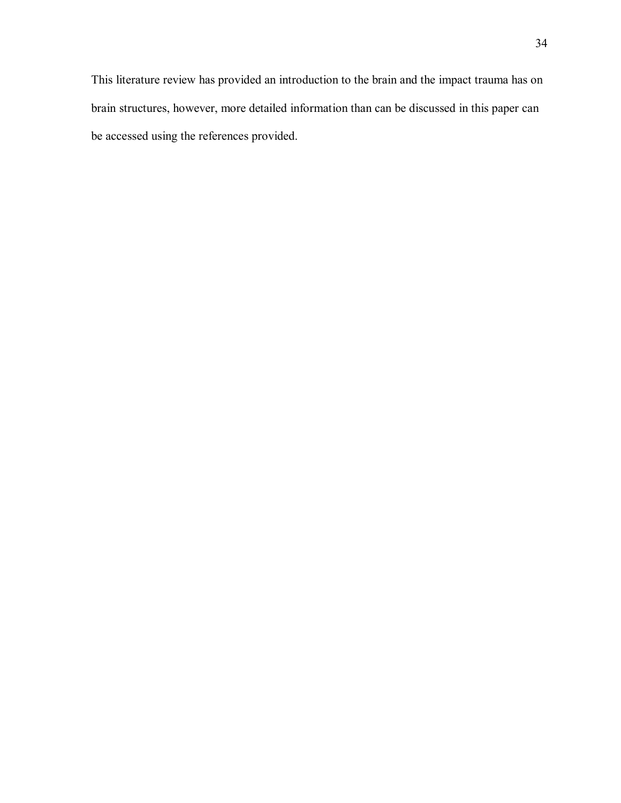This literature review has provided an introduction to the brain and the impact trauma has on brain structures, however, more detailed information than can be discussed in this paper can be accessed using the references provided.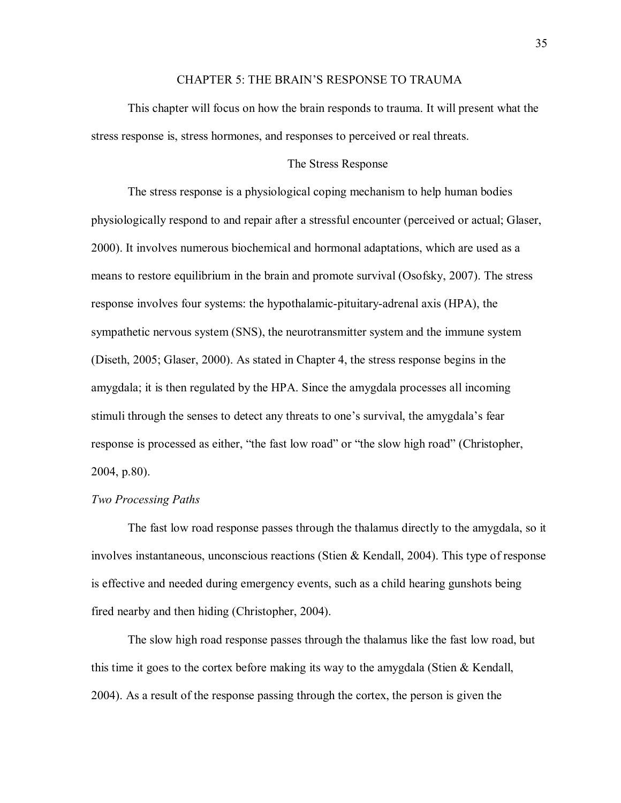#### CHAPTER 5: THE BRAIN'S RESPONSE TO TRAUMA

This chapter will focus on how the brain responds to trauma. It will present what the stress response is, stress hormones, and responses to perceived or real threats.

## The Stress Response

The stress response is a physiological coping mechanism to help human bodies physiologically respond to and repair after a stressful encounter (perceived or actual; Glaser, 2000). It involves numerous biochemical and hormonal adaptations, which are used as a means to restore equilibrium in the brain and promote survival (Osofsky, 2007). The stress response involves four systems: the hypothalamic-pituitary-adrenal axis (HPA), the sympathetic nervous system (SNS), the neurotransmitter system and the immune system (Diseth, 2005; Glaser, 2000). As stated in Chapter 4, the stress response begins in the amygdala; it is then regulated by the HPA. Since the amygdala processes all incoming stimuli through the senses to detect any threats to one's survival, the amygdala's fear response is processed as either, "the fast low road" or "the slow high road" (Christopher, 2004, p.80).

#### *Two Processing Paths*

The fast low road response passes through the thalamus directly to the amygdala, so it involves instantaneous, unconscious reactions (Stien & Kendall, 2004). This type of response is effective and needed during emergency events, such as a child hearing gunshots being fired nearby and then hiding (Christopher, 2004).

The slow high road response passes through the thalamus like the fast low road, but this time it goes to the cortex before making its way to the amygdala (Stien & Kendall, 2004). As a result of the response passing through the cortex, the person is given the

35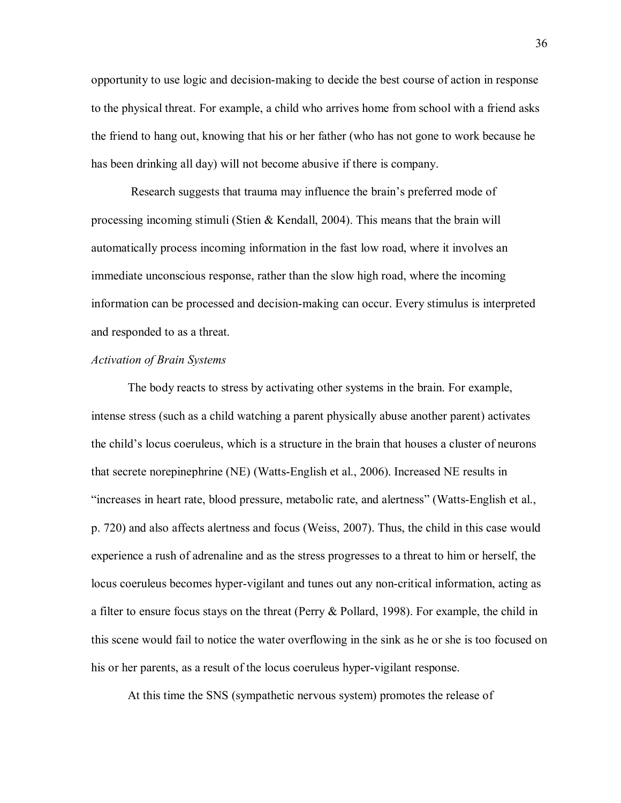opportunity to use logic and decision-making to decide the best course of action in response to the physical threat. For example, a child who arrives home from school with a friend asks the friend to hang out, knowing that his or her father (who has not gone to work because he has been drinking all day) will not become abusive if there is company.

Research suggests that trauma may influence the brain's preferred mode of processing incoming stimuli (Stien & Kendall, 2004). This means that the brain will automatically process incoming information in the fast low road, where it involves an immediate unconscious response, rather than the slow high road, where the incoming information can be processed and decision-making can occur. Every stimulus is interpreted and responded to as a threat.

#### *Activation of Brain Systems*

The body reacts to stress by activating other systems in the brain. For example, intense stress (such as a child watching a parent physically abuse another parent) activates the child's locus coeruleus, which is a structure in the brain that houses a cluster of neurons that secrete norepinephrine (NE) (Watts-English et al., 2006). Increased NE results in "increases in heart rate, blood pressure, metabolic rate, and alertness" (Watts-English et al., p. 720) and also affects alertness and focus (Weiss, 2007). Thus, the child in this case would experience a rush of adrenaline and as the stress progresses to a threat to him or herself, the locus coeruleus becomes hyper-vigilant and tunes out any non-critical information, acting as a filter to ensure focus stays on the threat (Perry & Pollard, 1998). For example, the child in this scene would fail to notice the water overflowing in the sink as he or she is too focused on his or her parents, as a result of the locus coeruleus hyper-vigilant response.

At this time the SNS (sympathetic nervous system) promotes the release of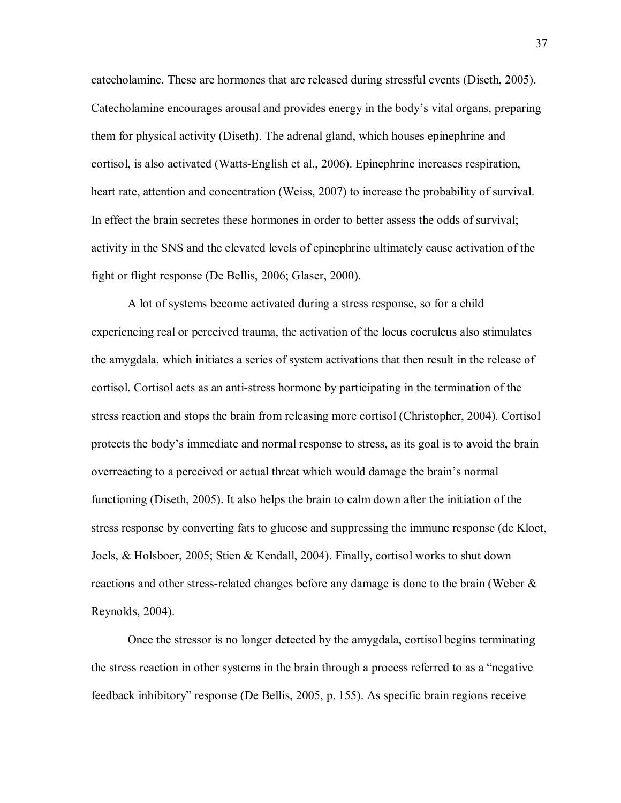catecholamine. These are hormones that are released during stressful events (Diseth, 2005). Catecholamine encourages arousal and provides energy in the body's vital organs, preparing them for physical activity (Diseth). The adrenal gland, which houses epinephrine and cortisol, is also activated (Watts-English et al., 2006). Epinephrine increases respiration, heart rate, attention and concentration (Weiss, 2007) to increase the probability of survival. In effect the brain secretes these hormones in order to better assess the odds of survival; activity in the SNS and the elevated levels of epinephrine ultimately cause activation of the fight or flight response (De Bellis, 2006; Glaser, 2000).

A lot of systems become activated during a stress response, so for a child experiencing real or perceived trauma, the activation of the locus coeruleus also stimulates the amygdala, which initiates a series of system activations that then result in the release of cortisol. Cortisol acts as an anti-stress hormone by participating in the termination of the stress reaction and stops the brain from releasing more cortisol (Christopher, 2004). Cortisol protects the bodyís immediate and normal response to stress, as its goal is to avoid the brain overreacting to a perceived or actual threat which would damage the brain's normal functioning (Diseth, 2005). It also helps the brain to calm down after the initiation of the stress response by converting fats to glucose and suppressing the immune response (de Kloet, Joels, & Holsboer, 2005; Stien & Kendall, 2004). Finally, cortisol works to shut down reactions and other stress-related changes before any damage is done to the brain (Weber & Reynolds, 2004).

Once the stressor is no longer detected by the amygdala, cortisol begins terminating the stress reaction in other systems in the brain through a process referred to as a "negative" feedback inhibitory" response (De Bellis, 2005, p. 155). As specific brain regions receive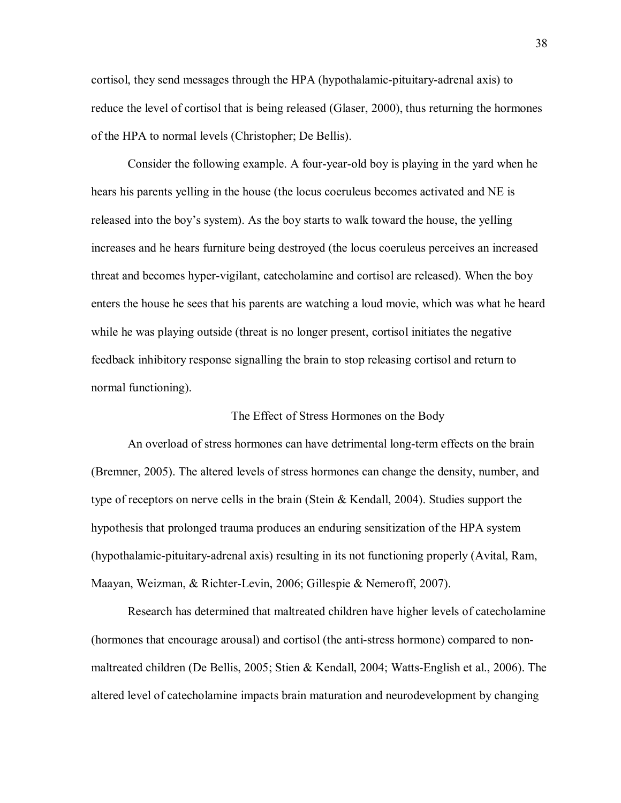cortisol, they send messages through the HPA (hypothalamic-pituitary-adrenal axis) to reduce the level of cortisol that is being released (Glaser, 2000), thus returning the hormones of the HPA to normal levels (Christopher; De Bellis).

Consider the following example. A four-year-old boy is playing in the yard when he hears his parents yelling in the house (the locus coeruleus becomes activated and NE is released into the boy's system). As the boy starts to walk toward the house, the yelling increases and he hears furniture being destroyed (the locus coeruleus perceives an increased threat and becomes hyper-vigilant, catecholamine and cortisol are released). When the boy enters the house he sees that his parents are watching a loud movie, which was what he heard while he was playing outside (threat is no longer present, cortisol initiates the negative feedback inhibitory response signalling the brain to stop releasing cortisol and return to normal functioning).

The Effect of Stress Hormones on the Body

An overload of stress hormones can have detrimental long-term effects on the brain (Bremner, 2005). The altered levels of stress hormones can change the density, number, and type of receptors on nerve cells in the brain (Stein & Kendall, 2004). Studies support the hypothesis that prolonged trauma produces an enduring sensitization of the HPA system (hypothalamic-pituitary-adrenal axis) resulting in its not functioning properly (Avital, Ram, Maayan, Weizman, & Richter-Levin, 2006; Gillespie & Nemeroff, 2007).

Research has determined that maltreated children have higher levels of catecholamine (hormones that encourage arousal) and cortisol (the anti-stress hormone) compared to nonmaltreated children (De Bellis, 2005; Stien & Kendall, 2004; Watts-English et al., 2006). The altered level of catecholamine impacts brain maturation and neurodevelopment by changing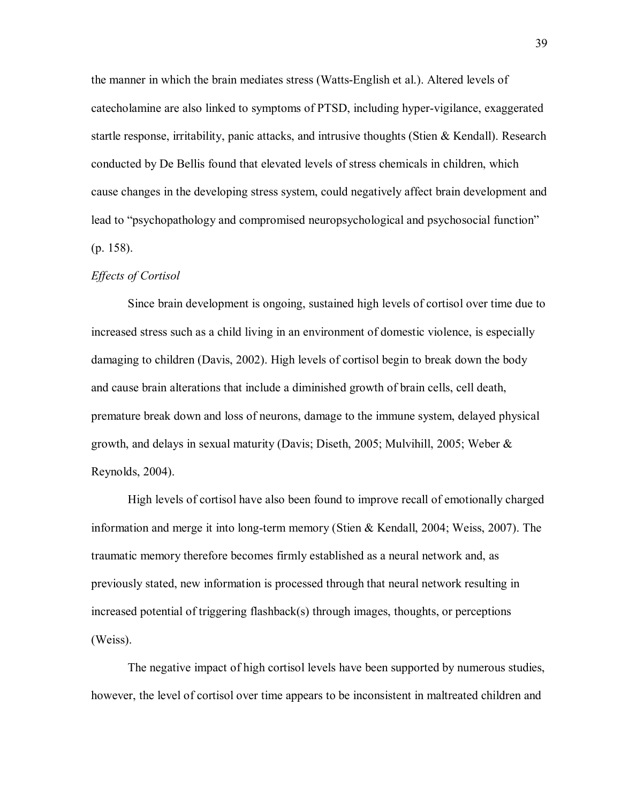the manner in which the brain mediates stress (Watts-English et al.). Altered levels of catecholamine are also linked to symptoms of PTSD, including hyper-vigilance, exaggerated startle response, irritability, panic attacks, and intrusive thoughts (Stien & Kendall). Research conducted by De Bellis found that elevated levels of stress chemicals in children, which cause changes in the developing stress system, could negatively affect brain development and lead to "psychopathology and compromised neuropsychological and psychosocial function" (p. 158).

#### *Effects of Cortisol*

Since brain development is ongoing, sustained high levels of cortisol over time due to increased stress such as a child living in an environment of domestic violence, is especially damaging to children (Davis, 2002). High levels of cortisol begin to break down the body and cause brain alterations that include a diminished growth of brain cells, cell death, premature break down and loss of neurons, damage to the immune system, delayed physical growth, and delays in sexual maturity (Davis; Diseth, 2005; Mulvihill, 2005; Weber & Reynolds, 2004).

High levels of cortisol have also been found to improve recall of emotionally charged information and merge it into long-term memory (Stien & Kendall, 2004; Weiss, 2007). The traumatic memory therefore becomes firmly established as a neural network and, as previously stated, new information is processed through that neural network resulting in increased potential of triggering flashback(s) through images, thoughts, or perceptions (Weiss).

The negative impact of high cortisol levels have been supported by numerous studies, however, the level of cortisol over time appears to be inconsistent in maltreated children and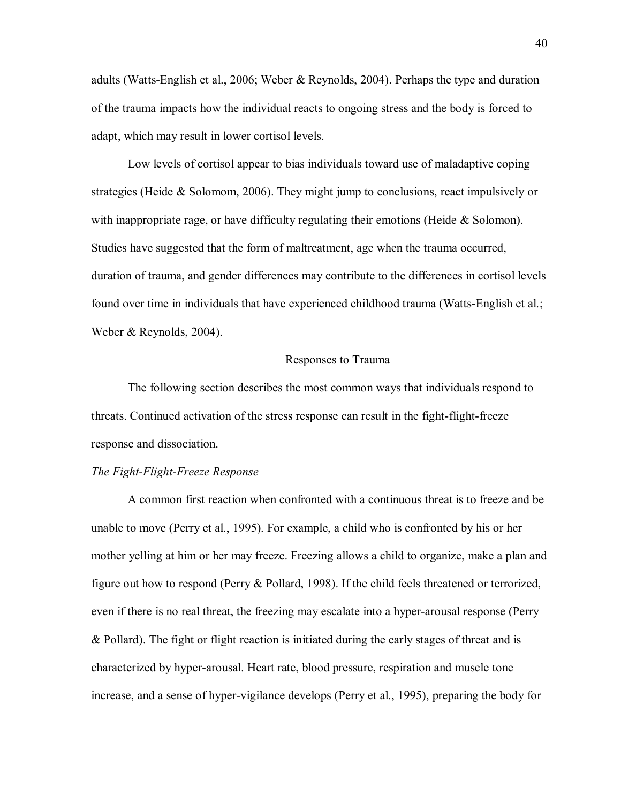adults (Watts-English et al., 2006; Weber & Reynolds, 2004). Perhaps the type and duration of the trauma impacts how the individual reacts to ongoing stress and the body is forced to adapt, which may result in lower cortisol levels.

Low levels of cortisol appear to bias individuals toward use of maladaptive coping strategies (Heide & Solomom, 2006). They might jump to conclusions, react impulsively or with inappropriate rage, or have difficulty regulating their emotions (Heide & Solomon). Studies have suggested that the form of maltreatment, age when the trauma occurred, duration of trauma, and gender differences may contribute to the differences in cortisol levels found over time in individuals that have experienced childhood trauma (Watts-English et al.; Weber & Reynolds, 2004).

#### Responses to Trauma

The following section describes the most common ways that individuals respond to threats. Continued activation of the stress response can result in the fight-flight-freeze response and dissociation.

#### *The Fight-Flight-Freeze Response*

A common first reaction when confronted with a continuous threat is to freeze and be unable to move (Perry et al., 1995). For example, a child who is confronted by his or her mother yelling at him or her may freeze. Freezing allows a child to organize, make a plan and figure out how to respond (Perry & Pollard, 1998). If the child feels threatened or terrorized, even if there is no real threat, the freezing may escalate into a hyper-arousal response (Perry & Pollard). The fight or flight reaction is initiated during the early stages of threat and is characterized by hyper-arousal. Heart rate, blood pressure, respiration and muscle tone increase, and a sense of hyper-vigilance develops (Perry et al., 1995), preparing the body for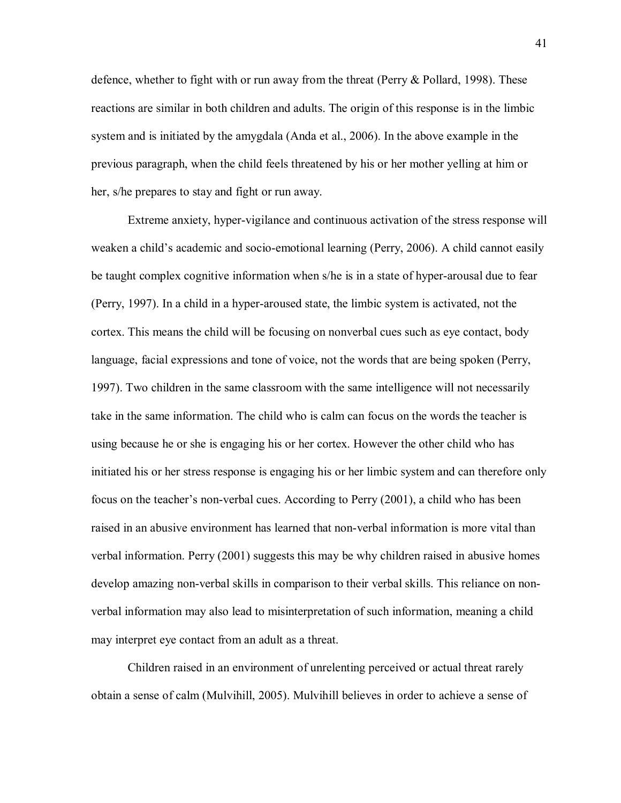defence, whether to fight with or run away from the threat (Perry & Pollard, 1998). These reactions are similar in both children and adults. The origin of this response is in the limbic system and is initiated by the amygdala (Anda et al., 2006). In the above example in the previous paragraph, when the child feels threatened by his or her mother yelling at him or her, s/he prepares to stay and fight or run away.

Extreme anxiety, hyper-vigilance and continuous activation of the stress response will weaken a child's academic and socio-emotional learning (Perry, 2006). A child cannot easily be taught complex cognitive information when s/he is in a state of hyper-arousal due to fear (Perry, 1997). In a child in a hyper-aroused state, the limbic system is activated, not the cortex. This means the child will be focusing on nonverbal cues such as eye contact, body language, facial expressions and tone of voice, not the words that are being spoken (Perry, 1997). Two children in the same classroom with the same intelligence will not necessarily take in the same information. The child who is calm can focus on the words the teacher is using because he or she is engaging his or her cortex. However the other child who has initiated his or her stress response is engaging his or her limbic system and can therefore only focus on the teacher's non-verbal cues. According to Perry (2001), a child who has been raised in an abusive environment has learned that non-verbal information is more vital than verbal information. Perry (2001) suggests this may be why children raised in abusive homes develop amazing non-verbal skills in comparison to their verbal skills. This reliance on nonverbal information may also lead to misinterpretation of such information, meaning a child may interpret eye contact from an adult as a threat.

Children raised in an environment of unrelenting perceived or actual threat rarely obtain a sense of calm (Mulvihill, 2005). Mulvihill believes in order to achieve a sense of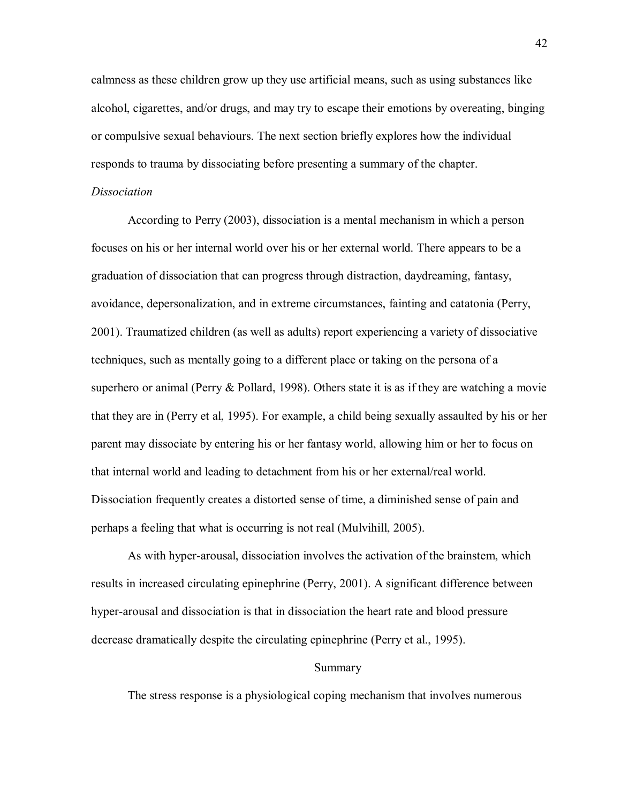calmness as these children grow up they use artificial means, such as using substances like alcohol, cigarettes, and/or drugs, and may try to escape their emotions by overeating, binging or compulsive sexual behaviours. The next section briefly explores how the individual responds to trauma by dissociating before presenting a summary of the chapter.

#### *Dissociation*

According to Perry (2003), dissociation is a mental mechanism in which a person focuses on his or her internal world over his or her external world. There appears to be a graduation of dissociation that can progress through distraction, daydreaming, fantasy, avoidance, depersonalization, and in extreme circumstances, fainting and catatonia (Perry, 2001). Traumatized children (as well as adults) report experiencing a variety of dissociative techniques, such as mentally going to a different place or taking on the persona of a superhero or animal (Perry & Pollard, 1998). Others state it is as if they are watching a movie that they are in (Perry et al, 1995). For example, a child being sexually assaulted by his or her parent may dissociate by entering his or her fantasy world, allowing him or her to focus on that internal world and leading to detachment from his or her external/real world. Dissociation frequently creates a distorted sense of time, a diminished sense of pain and perhaps a feeling that what is occurring is not real (Mulvihill, 2005).

As with hyper-arousal, dissociation involves the activation of the brainstem, which results in increased circulating epinephrine (Perry, 2001). A significant difference between hyper-arousal and dissociation is that in dissociation the heart rate and blood pressure decrease dramatically despite the circulating epinephrine (Perry et al., 1995).

#### Summary

The stress response is a physiological coping mechanism that involves numerous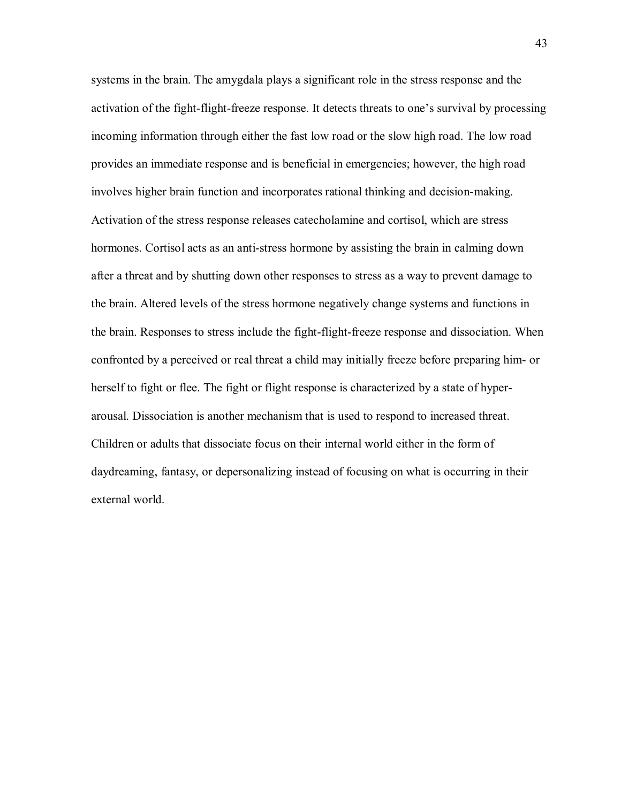systems in the brain. The amygdala plays a significant role in the stress response and the activation of the fight-flight-freeze response. It detects threats to one's survival by processing incoming information through either the fast low road or the slow high road. The low road provides an immediate response and is beneficial in emergencies; however, the high road involves higher brain function and incorporates rational thinking and decision-making. Activation of the stress response releases catecholamine and cortisol, which are stress hormones. Cortisol acts as an anti-stress hormone by assisting the brain in calming down after a threat and by shutting down other responses to stress as a way to prevent damage to the brain. Altered levels of the stress hormone negatively change systems and functions in the brain. Responses to stress include the fight-flight-freeze response and dissociation. When confronted by a perceived or real threat a child may initially freeze before preparing him- or herself to fight or flee. The fight or flight response is characterized by a state of hyperarousal. Dissociation is another mechanism that is used to respond to increased threat. Children or adults that dissociate focus on their internal world either in the form of daydreaming, fantasy, or depersonalizing instead of focusing on what is occurring in their external world.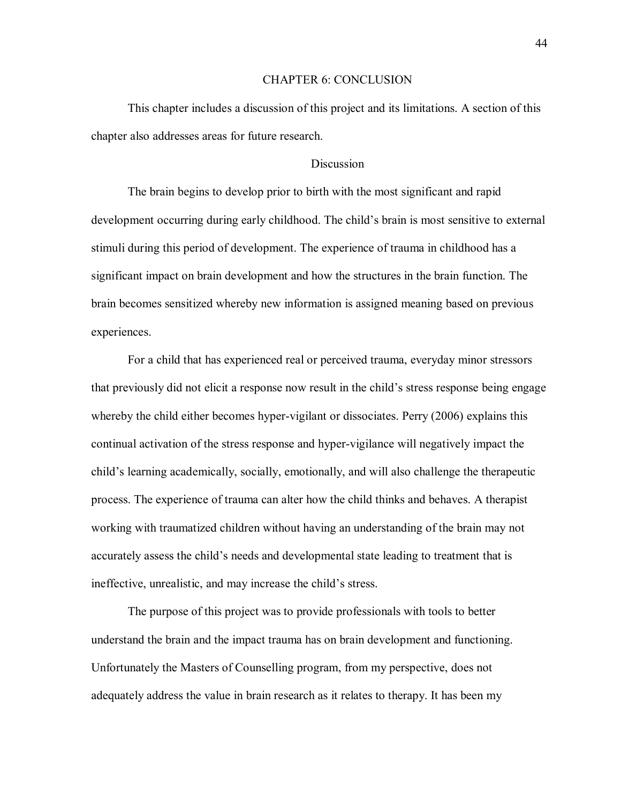#### CHAPTER 6: CONCLUSION

This chapter includes a discussion of this project and its limitations. A section of this chapter also addresses areas for future research.

#### **Discussion**

The brain begins to develop prior to birth with the most significant and rapid development occurring during early childhood. The child's brain is most sensitive to external stimuli during this period of development. The experience of trauma in childhood has a significant impact on brain development and how the structures in the brain function. The brain becomes sensitized whereby new information is assigned meaning based on previous experiences.

For a child that has experienced real or perceived trauma, everyday minor stressors that previously did not elicit a response now result in the child's stress response being engage whereby the child either becomes hyper-vigilant or dissociates. Perry (2006) explains this continual activation of the stress response and hyper-vigilance will negatively impact the child's learning academically, socially, emotionally, and will also challenge the therapeutic process. The experience of trauma can alter how the child thinks and behaves. A therapist working with traumatized children without having an understanding of the brain may not accurately assess the child's needs and developmental state leading to treatment that is ineffective, unrealistic, and may increase the child's stress.

The purpose of this project was to provide professionals with tools to better understand the brain and the impact trauma has on brain development and functioning. Unfortunately the Masters of Counselling program, from my perspective, does not adequately address the value in brain research as it relates to therapy. It has been my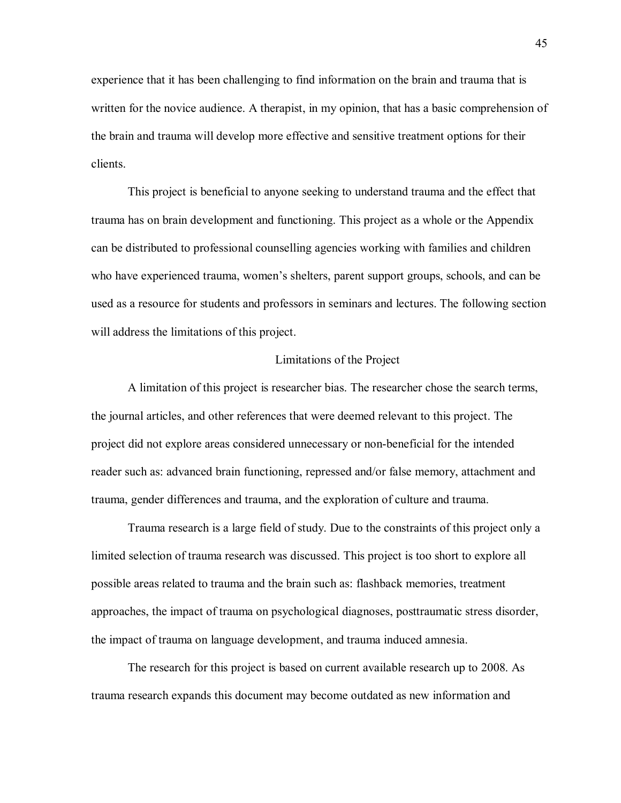experience that it has been challenging to find information on the brain and trauma that is written for the novice audience. A therapist, in my opinion, that has a basic comprehension of the brain and trauma will develop more effective and sensitive treatment options for their clients.

This project is beneficial to anyone seeking to understand trauma and the effect that trauma has on brain development and functioning. This project as a whole or the Appendix can be distributed to professional counselling agencies working with families and children who have experienced trauma, women's shelters, parent support groups, schools, and can be used as a resource for students and professors in seminars and lectures. The following section will address the limitations of this project.

#### Limitations of the Project

A limitation of this project is researcher bias. The researcher chose the search terms, the journal articles, and other references that were deemed relevant to this project. The project did not explore areas considered unnecessary or non-beneficial for the intended reader such as: advanced brain functioning, repressed and/or false memory, attachment and trauma, gender differences and trauma, and the exploration of culture and trauma.

Trauma research is a large field of study. Due to the constraints of this project only a limited selection of trauma research was discussed. This project is too short to explore all possible areas related to trauma and the brain such as: flashback memories, treatment approaches, the impact of trauma on psychological diagnoses, posttraumatic stress disorder, the impact of trauma on language development, and trauma induced amnesia.

The research for this project is based on current available research up to 2008. As trauma research expands this document may become outdated as new information and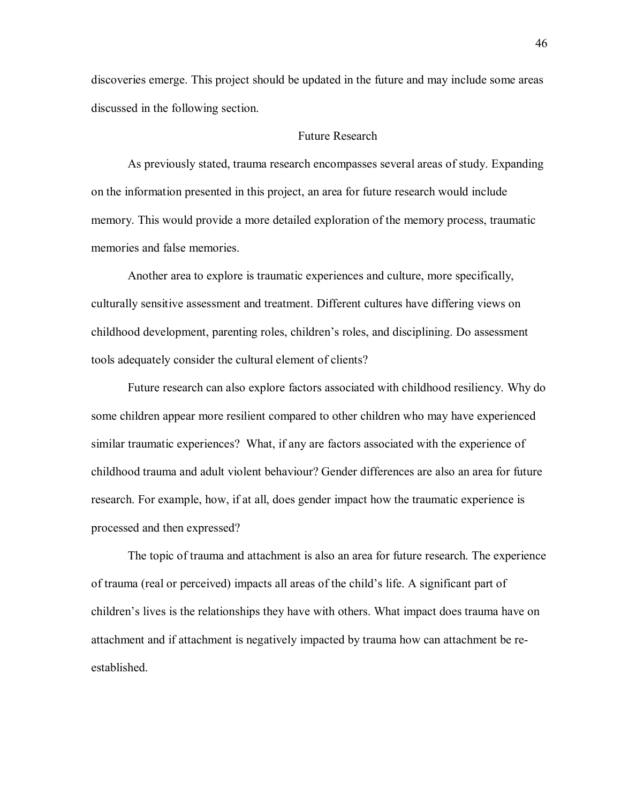discoveries emerge. This project should be updated in the future and may include some areas discussed in the following section.

#### Future Research

As previously stated, trauma research encompasses several areas of study. Expanding on the information presented in this project, an area for future research would include memory. This would provide a more detailed exploration of the memory process, traumatic memories and false memories.

Another area to explore is traumatic experiences and culture, more specifically, culturally sensitive assessment and treatment. Different cultures have differing views on childhood development, parenting roles, children's roles, and disciplining. Do assessment tools adequately consider the cultural element of clients?

Future research can also explore factors associated with childhood resiliency. Why do some children appear more resilient compared to other children who may have experienced similar traumatic experiences? What, if any are factors associated with the experience of childhood trauma and adult violent behaviour? Gender differences are also an area for future research. For example, how, if at all, does gender impact how the traumatic experience is processed and then expressed?

The topic of trauma and attachment is also an area for future research. The experience of trauma (real or perceived) impacts all areas of the child's life. A significant part of children's lives is the relationships they have with others. What impact does trauma have on attachment and if attachment is negatively impacted by trauma how can attachment be reestablished.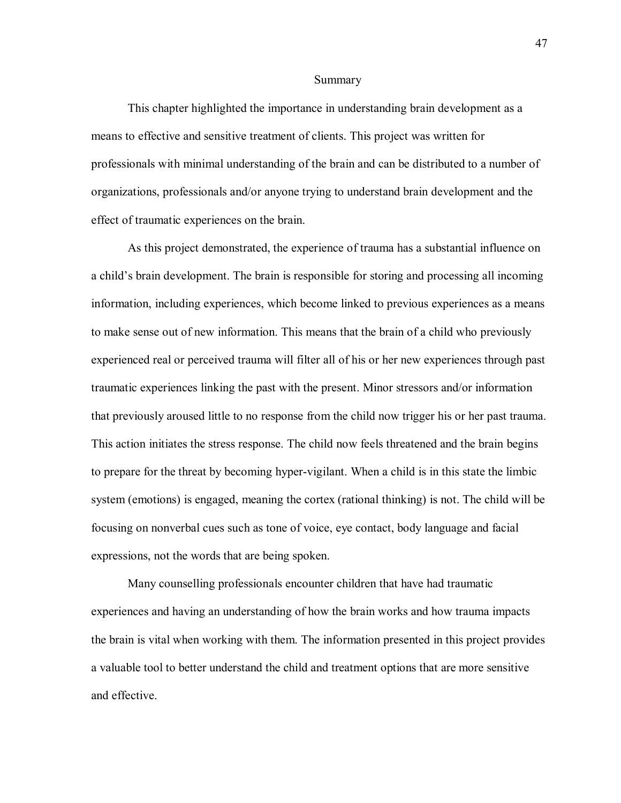#### Summary

This chapter highlighted the importance in understanding brain development as a means to effective and sensitive treatment of clients. This project was written for professionals with minimal understanding of the brain and can be distributed to a number of organizations, professionals and/or anyone trying to understand brain development and the effect of traumatic experiences on the brain.

As this project demonstrated, the experience of trauma has a substantial influence on a child's brain development. The brain is responsible for storing and processing all incoming information, including experiences, which become linked to previous experiences as a means to make sense out of new information. This means that the brain of a child who previously experienced real or perceived trauma will filter all of his or her new experiences through past traumatic experiences linking the past with the present. Minor stressors and/or information that previously aroused little to no response from the child now trigger his or her past trauma. This action initiates the stress response. The child now feels threatened and the brain begins to prepare for the threat by becoming hyper-vigilant. When a child is in this state the limbic system (emotions) is engaged, meaning the cortex (rational thinking) is not. The child will be focusing on nonverbal cues such as tone of voice, eye contact, body language and facial expressions, not the words that are being spoken.

Many counselling professionals encounter children that have had traumatic experiences and having an understanding of how the brain works and how trauma impacts the brain is vital when working with them. The information presented in this project provides a valuable tool to better understand the child and treatment options that are more sensitive and effective.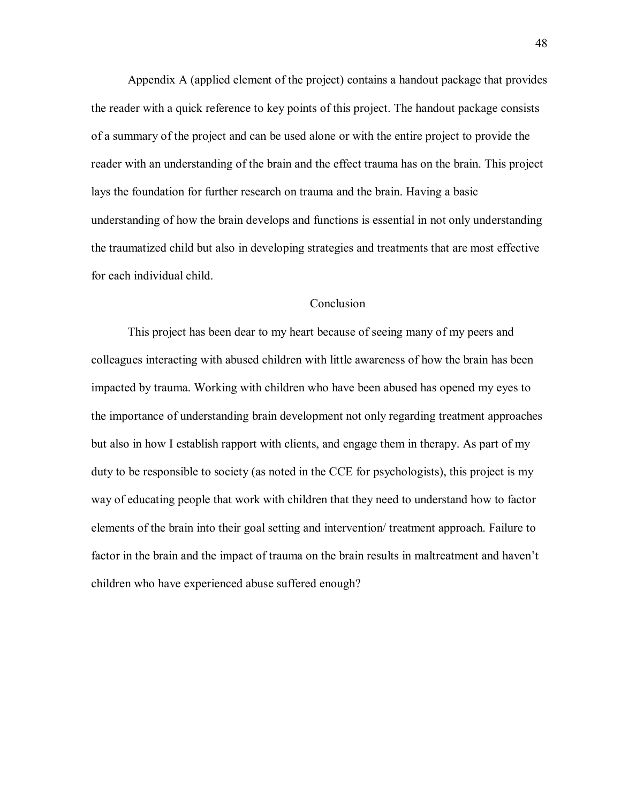Appendix A (applied element of the project) contains a handout package that provides the reader with a quick reference to key points of this project. The handout package consists of a summary of the project and can be used alone or with the entire project to provide the reader with an understanding of the brain and the effect trauma has on the brain. This project lays the foundation for further research on trauma and the brain. Having a basic understanding of how the brain develops and functions is essential in not only understanding the traumatized child but also in developing strategies and treatments that are most effective for each individual child.

#### Conclusion

 This project has been dear to my heart because of seeing many of my peers and colleagues interacting with abused children with little awareness of how the brain has been impacted by trauma. Working with children who have been abused has opened my eyes to the importance of understanding brain development not only regarding treatment approaches but also in how I establish rapport with clients, and engage them in therapy. As part of my duty to be responsible to society (as noted in the CCE for psychologists), this project is my way of educating people that work with children that they need to understand how to factor elements of the brain into their goal setting and intervention/ treatment approach. Failure to factor in the brain and the impact of trauma on the brain results in maltreatment and haven't children who have experienced abuse suffered enough?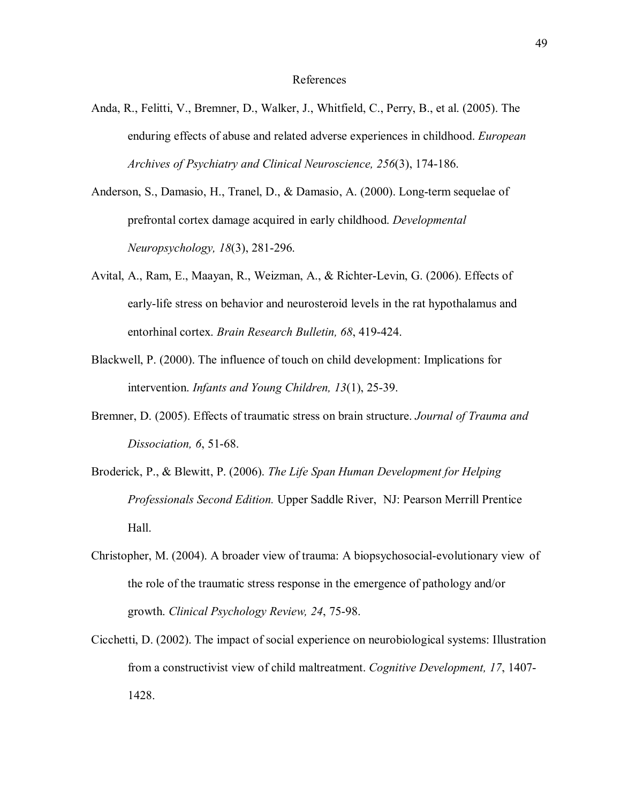#### References

- Anda, R., Felitti, V., Bremner, D., Walker, J., Whitfield, C., Perry, B., et al. (2005). The enduring effects of abuse and related adverse experiences in childhood. *European Archives of Psychiatry and Clinical Neuroscience, 256*(3), 174-186.
- Anderson, S., Damasio, H., Tranel, D., & Damasio, A. (2000). Long-term sequelae of prefrontal cortex damage acquired in early childhood. *Developmental Neuropsychology, 18*(3), 281-296.
- Avital, A., Ram, E., Maayan, R., Weizman, A., & Richter-Levin, G. (2006). Effects of early-life stress on behavior and neurosteroid levels in the rat hypothalamus and entorhinal cortex. *Brain Research Bulletin, 68*, 419-424.
- Blackwell, P. (2000). The influence of touch on child development: Implications for intervention. *Infants and Young Children, 13*(1), 25-39.
- Bremner, D. (2005). Effects of traumatic stress on brain structure. *Journal of Trauma and Dissociation, 6*, 51-68.
- Broderick, P., & Blewitt, P. (2006). *The Life Span Human Development for Helping Professionals Second Edition.* Upper Saddle River, NJ: Pearson Merrill Prentice Hall.
- Christopher, M. (2004). A broader view of trauma: A biopsychosocial-evolutionary view of the role of the traumatic stress response in the emergence of pathology and/or growth. *Clinical Psychology Review, 24*, 75-98.
- Cicchetti, D. (2002). The impact of social experience on neurobiological systems: Illustration from a constructivist view of child maltreatment. *Cognitive Development, 17*, 1407- 1428.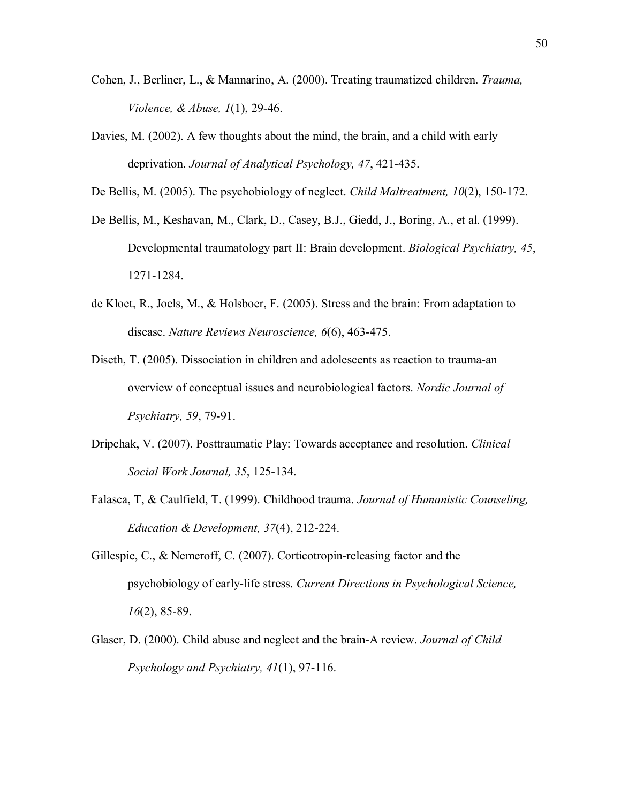- Cohen, J., Berliner, L., & Mannarino, A. (2000). Treating traumatized children. *Trauma, Violence, & Abuse, 1*(1), 29-46.
- Davies, M. (2002). A few thoughts about the mind, the brain, and a child with early deprivation. *Journal of Analytical Psychology, 47*, 421-435.

De Bellis, M. (2005). The psychobiology of neglect. *Child Maltreatment, 10*(2), 150-172.

- De Bellis, M., Keshavan, M., Clark, D., Casey, B.J., Giedd, J., Boring, A., et al. (1999). Developmental traumatology part II: Brain development. *Biological Psychiatry, 45*, 1271-1284.
- de Kloet, R., Joels, M., & Holsboer, F. (2005). Stress and the brain: From adaptation to disease. *Nature Reviews Neuroscience, 6*(6), 463-475.
- Diseth, T. (2005). Dissociation in children and adolescents as reaction to trauma-an overview of conceptual issues and neurobiological factors. *Nordic Journal of Psychiatry, 59*, 79-91.
- Dripchak, V. (2007). Posttraumatic Play: Towards acceptance and resolution. *Clinical Social Work Journal, 35*, 125-134.
- Falasca, T, & Caulfield, T. (1999). Childhood trauma. *Journal of Humanistic Counseling, Education & Development, 37*(4), 212-224.
- Gillespie, C., & Nemeroff, C. (2007). Corticotropin-releasing factor and the psychobiology of early-life stress. *Current Directions in Psychological Science, 16*(2), 85-89.
- Glaser, D. (2000). Child abuse and neglect and the brain-A review. *Journal of Child Psychology and Psychiatry, 41*(1), 97-116.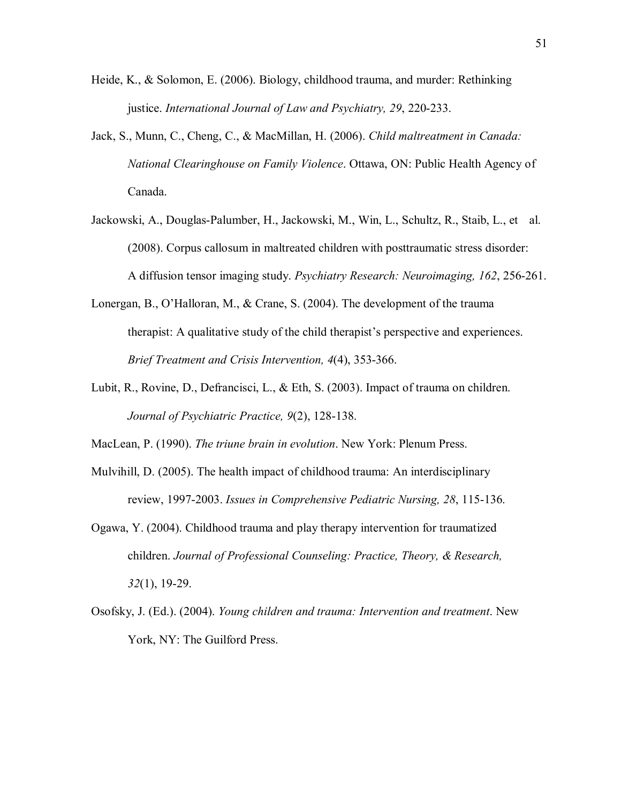- Heide, K., & Solomon, E. (2006). Biology, childhood trauma, and murder: Rethinking justice. *International Journal of Law and Psychiatry, 29*, 220-233.
- Jack, S., Munn, C., Cheng, C., & MacMillan, H. (2006). *Child maltreatment in Canada: National Clearinghouse on Family Violence*. Ottawa, ON: Public Health Agency of Canada.
- Jackowski, A., Douglas-Palumber, H., Jackowski, M., Win, L., Schultz, R., Staib, L., et al. (2008). Corpus callosum in maltreated children with posttraumatic stress disorder: A diffusion tensor imaging study. *Psychiatry Research: Neuroimaging, 162*, 256-261.
- Lonergan, B., O'Halloran, M.,  $&$  Crane, S. (2004). The development of the trauma therapist: A qualitative study of the child therapist's perspective and experiences. *Brief Treatment and Crisis Intervention, 4*(4), 353-366.
- Lubit, R., Rovine, D., Defrancisci, L., & Eth, S. (2003). Impact of trauma on children. *Journal of Psychiatric Practice, 9*(2), 128-138.
- MacLean, P. (1990). *The triune brain in evolution*. New York: Plenum Press.
- Mulvihill, D. (2005). The health impact of childhood trauma: An interdisciplinary review, 1997-2003. *Issues in Comprehensive Pediatric Nursing, 28*, 115-136.
- Ogawa, Y. (2004). Childhood trauma and play therapy intervention for traumatized children. *Journal of Professional Counseling: Practice, Theory, & Research, 32*(1), 19-29.
- Osofsky, J. (Ed.). (2004). *Young children and trauma: Intervention and treatment*. New York, NY: The Guilford Press.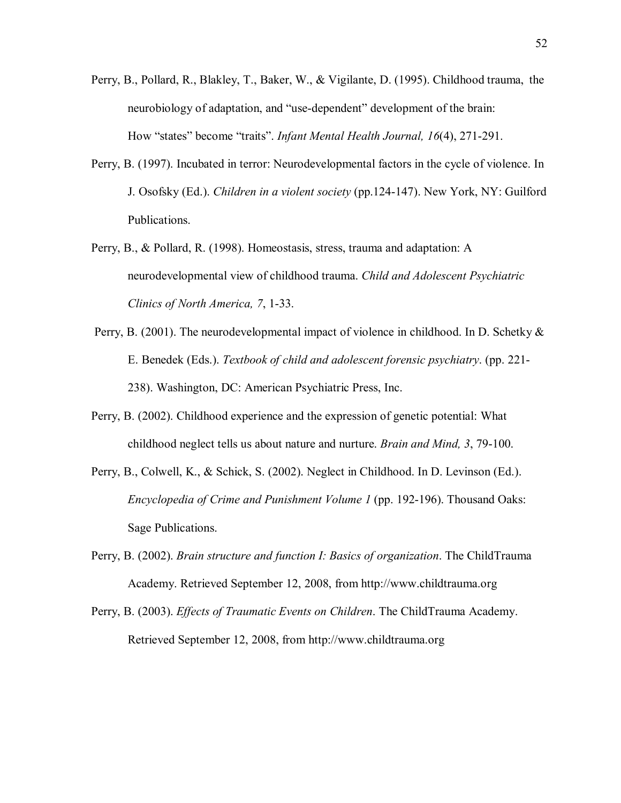- Perry, B., Pollard, R., Blakley, T., Baker, W., & Vigilante, D. (1995). Childhood trauma, the neurobiology of adaptation, and "use-dependent" development of the brain: How "states" become "traits". *Infant Mental Health Journal, 16*(4), 271-291.
- Perry, B. (1997). Incubated in terror: Neurodevelopmental factors in the cycle of violence. In J. Osofsky (Ed.). *Children in a violent society* (pp.124-147). New York, NY: Guilford Publications.
- Perry, B., & Pollard, R. (1998). Homeostasis, stress, trauma and adaptation: A neurodevelopmental view of childhood trauma. *Child and Adolescent Psychiatric Clinics of North America, 7*, 1-33.
- Perry, B. (2001). The neurodevelopmental impact of violence in childhood. In D. Schetky & E. Benedek (Eds.). *Textbook of child and adolescent forensic psychiatry*. (pp. 221- 238). Washington, DC: American Psychiatric Press, Inc.
- Perry, B. (2002). Childhood experience and the expression of genetic potential: What childhood neglect tells us about nature and nurture. *Brain and Mind, 3*, 79-100.
- Perry, B., Colwell, K., & Schick, S. (2002). Neglect in Childhood. In D. Levinson (Ed.). *Encyclopedia of Crime and Punishment Volume 1* (pp. 192-196). Thousand Oaks: Sage Publications.
- Perry, B. (2002). *Brain structure and function I: Basics of organization*. The ChildTrauma Academy. Retrieved September 12, 2008, from http://www.childtrauma.org
- Perry, B. (2003). *Effects of Traumatic Events on Children*. The ChildTrauma Academy. Retrieved September 12, 2008, from http://www.childtrauma.org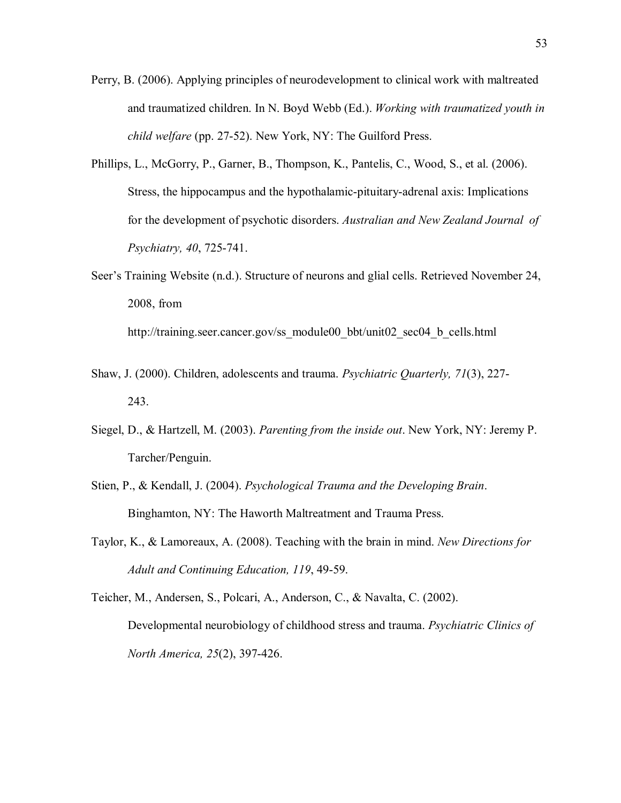- Perry, B. (2006). Applying principles of neurodevelopment to clinical work with maltreated and traumatized children. In N. Boyd Webb (Ed.). *Working with traumatized youth in child welfare* (pp. 27-52). New York, NY: The Guilford Press.
- Phillips, L., McGorry, P., Garner, B., Thompson, K., Pantelis, C., Wood, S., et al. (2006). Stress, the hippocampus and the hypothalamic-pituitary-adrenal axis: Implications for the development of psychotic disorders. *Australian and New Zealand Journal of Psychiatry, 40*, 725-741.
- Seer's Training Website (n.d.). Structure of neurons and glial cells. Retrieved November 24, 2008, from

http://training.seer.cancer.gov/ss\_module00\_bbt/unit02\_sec04\_b\_cells.html

- Shaw, J. (2000). Children, adolescents and trauma. *Psychiatric Quarterly, 71*(3), 227- 243.
- Siegel, D., & Hartzell, M. (2003). *Parenting from the inside out*. New York, NY: Jeremy P. Tarcher/Penguin.
- Stien, P., & Kendall, J. (2004). *Psychological Trauma and the Developing Brain*. Binghamton, NY: The Haworth Maltreatment and Trauma Press.
- Taylor, K., & Lamoreaux, A. (2008). Teaching with the brain in mind. *New Directions for Adult and Continuing Education, 119*, 49-59.

Teicher, M., Andersen, S., Polcari, A., Anderson, C., & Navalta, C. (2002). Developmental neurobiology of childhood stress and trauma. *Psychiatric Clinics of North America, 25*(2), 397-426.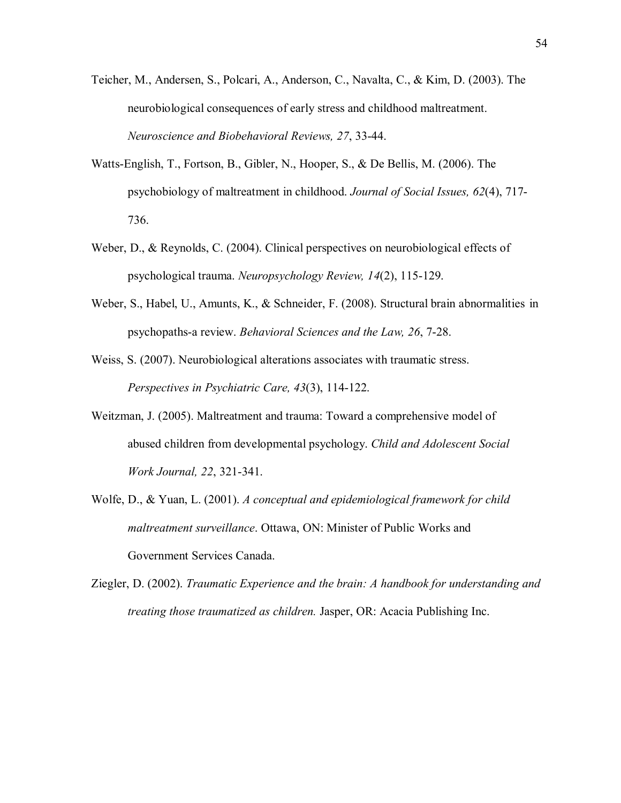- Teicher, M., Andersen, S., Polcari, A., Anderson, C., Navalta, C., & Kim, D. (2003). The neurobiological consequences of early stress and childhood maltreatment. *Neuroscience and Biobehavioral Reviews, 27*, 33-44.
- Watts-English, T., Fortson, B., Gibler, N., Hooper, S., & De Bellis, M. (2006). The psychobiology of maltreatment in childhood. *Journal of Social Issues, 62*(4), 717- 736.
- Weber, D., & Reynolds, C. (2004). Clinical perspectives on neurobiological effects of psychological trauma. *Neuropsychology Review, 14*(2), 115-129.
- Weber, S., Habel, U., Amunts, K., & Schneider, F. (2008). Structural brain abnormalities in psychopaths-a review. *Behavioral Sciences and the Law, 26*, 7-28.
- Weiss, S. (2007). Neurobiological alterations associates with traumatic stress. *Perspectives in Psychiatric Care, 43*(3), 114-122.
- Weitzman, J. (2005). Maltreatment and trauma: Toward a comprehensive model of abused children from developmental psychology. *Child and Adolescent Social Work Journal, 22*, 321-341.
- Wolfe, D., & Yuan, L. (2001). *A conceptual and epidemiological framework for child maltreatment surveillance*. Ottawa, ON: Minister of Public Works and Government Services Canada.
- Ziegler, D. (2002). *Traumatic Experience and the brain: A handbook for understanding and treating those traumatized as children.* Jasper, OR: Acacia Publishing Inc.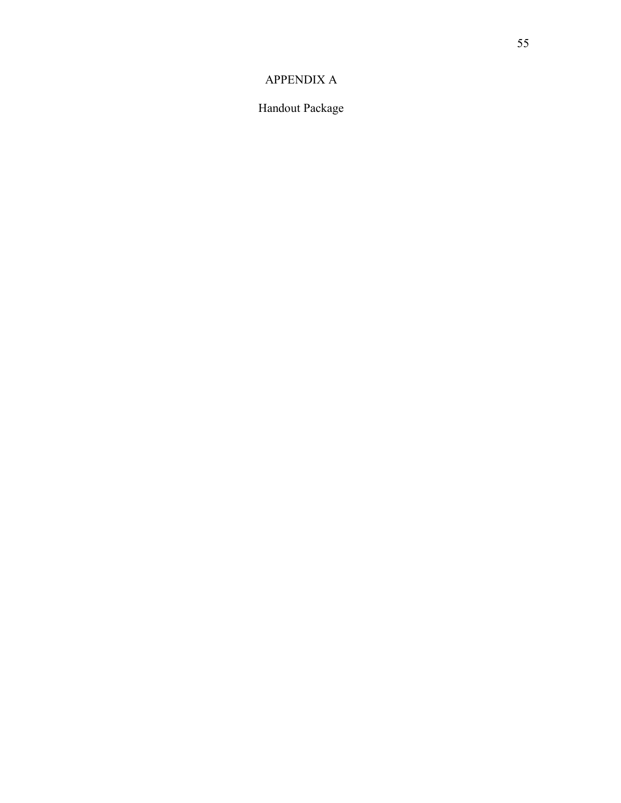# APPENDIX A

Handout Package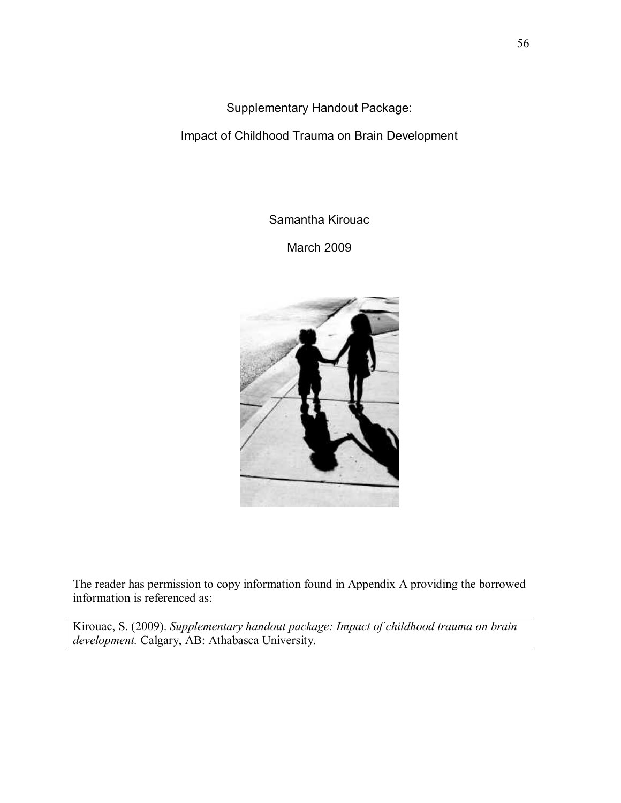Supplementary Handout Package:

Impact of Childhood Trauma on Brain Development

Samantha Kirouac

March 2009



The reader has permission to copy information found in Appendix A providing the borrowed information is referenced as:

Kirouac, S. (2009). *Supplementary handout package: Impact of childhood trauma on brain development.* Calgary, AB: Athabasca University.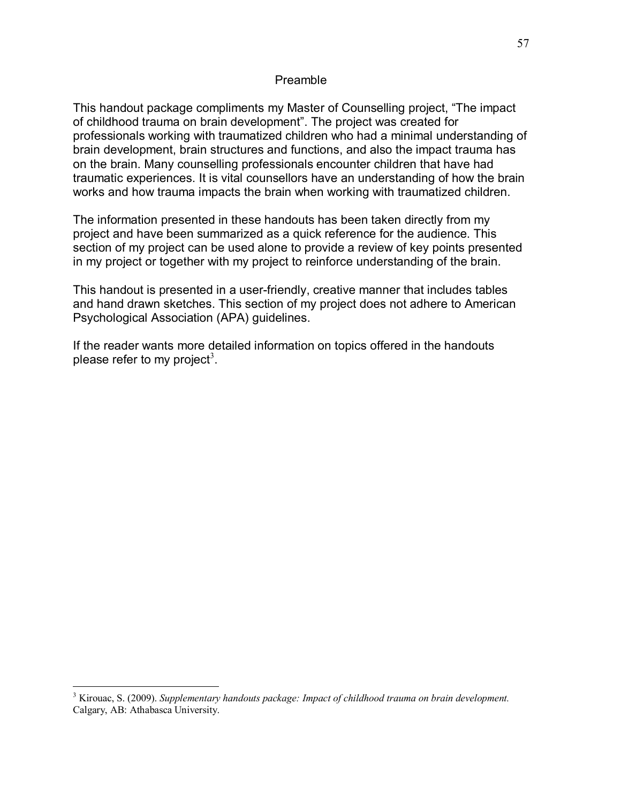### Preamble

This handout package compliments my Master of Counselling project, "The impact of childhood trauma on brain development". The project was created for professionals working with traumatized children who had a minimal understanding of brain development, brain structures and functions, and also the impact trauma has on the brain. Many counselling professionals encounter children that have had traumatic experiences. It is vital counsellors have an understanding of how the brain works and how trauma impacts the brain when working with traumatized children.

The information presented in these handouts has been taken directly from my project and have been summarized as a quick reference for the audience. This section of my project can be used alone to provide a review of key points presented in my project or together with my project to reinforce understanding of the brain.

This handout is presented in a user-friendly, creative manner that includes tables and hand drawn sketches. This section of my project does not adhere to American Psychological Association (APA) guidelines.

If the reader wants more detailed information on topics offered in the handouts please refer to my project<sup>3</sup>.

<sup>3</sup> Kirouac, S. (2009). *Supplementary handouts package: Impact of childhood trauma on brain development.* Calgary, AB: Athabasca University.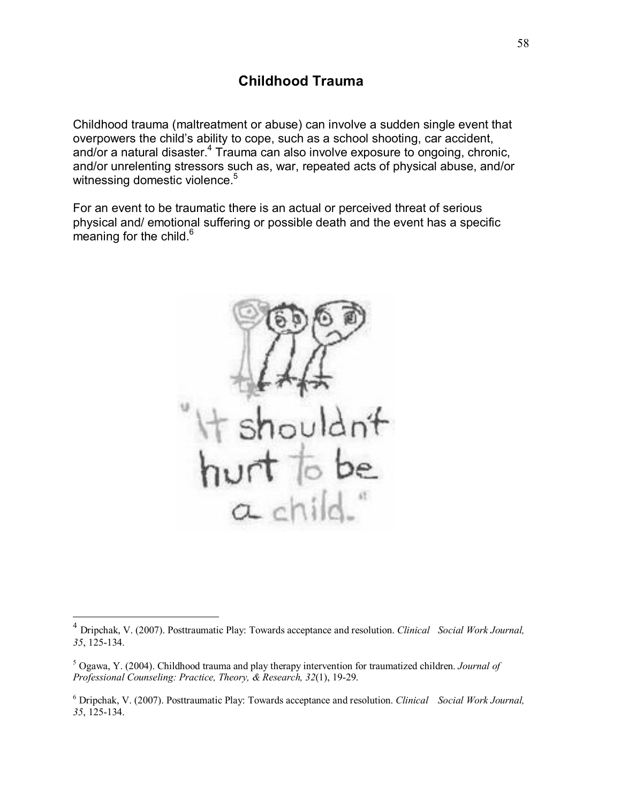Childhood trauma (maltreatment or abuse) can involve a sudden single event that overpowers the child's ability to cope, such as a school shooting, car accident, and/or a natural disaster.<sup>4</sup> Trauma can also involve exposure to ongoing, chronic, and/or unrelenting stressors such as, war, repeated acts of physical abuse, and/or witnessing domestic violence.<sup>5</sup>

For an event to be traumatic there is an actual or perceived threat of serious physical and/ emotional suffering or possible death and the event has a specific meaning for the child.<sup>6</sup>



<sup>4</sup> Dripchak, V. (2007). Posttraumatic Play: Towards acceptance and resolution. *Clinical Social Work Journal, 35*, 125-134.

<sup>5</sup> Ogawa, Y. (2004). Childhood trauma and play therapy intervention for traumatized children. *Journal of Professional Counseling: Practice, Theory, & Research, 32*(1), 19-29.

<sup>6</sup> Dripchak, V. (2007). Posttraumatic Play: Towards acceptance and resolution. *Clinical Social Work Journal, 35*, 125-134.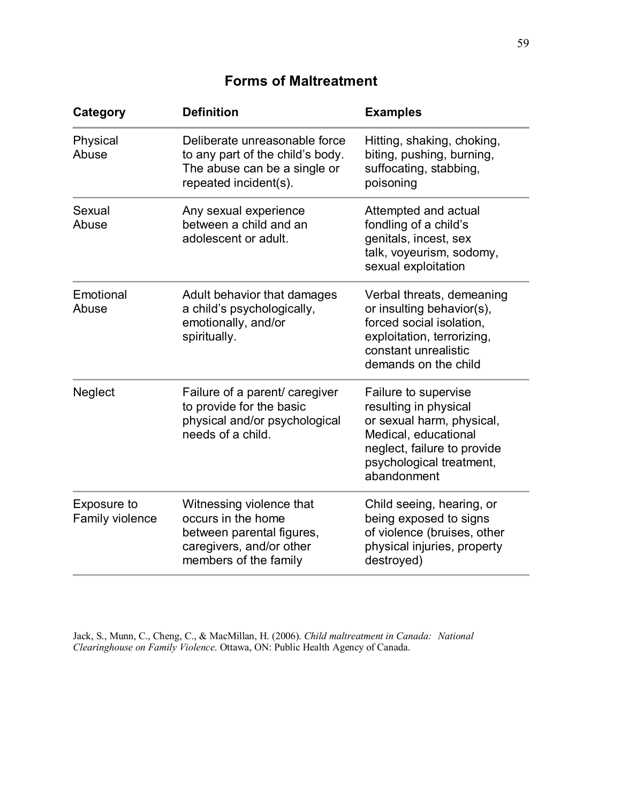# **Forms of Maltreatment**

| Category                       | <b>Definition</b>                                                                                                                | <b>Examples</b>                                                                                                                                                              |
|--------------------------------|----------------------------------------------------------------------------------------------------------------------------------|------------------------------------------------------------------------------------------------------------------------------------------------------------------------------|
| Physical<br>Abuse              | Deliberate unreasonable force<br>to any part of the child's body.<br>The abuse can be a single or<br>repeated incident(s).       | Hitting, shaking, choking,<br>biting, pushing, burning,<br>suffocating, stabbing,<br>poisoning                                                                               |
| Sexual<br>Abuse                | Any sexual experience<br>between a child and an<br>adolescent or adult.                                                          | Attempted and actual<br>fondling of a child's<br>genitals, incest, sex<br>talk, voyeurism, sodomy,<br>sexual exploitation                                                    |
| Emotional<br>Abuse             | Adult behavior that damages<br>a child's psychologically,<br>emotionally, and/or<br>spiritually.                                 | Verbal threats, demeaning<br>or insulting behavior(s),<br>forced social isolation,<br>exploitation, terrorizing,<br>constant unrealistic<br>demands on the child             |
| <b>Neglect</b>                 | Failure of a parent/ caregiver<br>to provide for the basic<br>physical and/or psychological<br>needs of a child.                 | Failure to supervise<br>resulting in physical<br>or sexual harm, physical,<br>Medical, educational<br>neglect, failure to provide<br>psychological treatment,<br>abandonment |
| Exposure to<br>Family violence | Witnessing violence that<br>occurs in the home<br>between parental figures,<br>caregivers, and/or other<br>members of the family | Child seeing, hearing, or<br>being exposed to signs<br>of violence (bruises, other<br>physical injuries, property<br>destroyed)                                              |

Jack, S., Munn, C., Cheng, C., & MacMillan, H. (2006). *Child maltreatment in Canada: National Clearinghouse on Family Violence*. Ottawa, ON: Public Health Agency of Canada.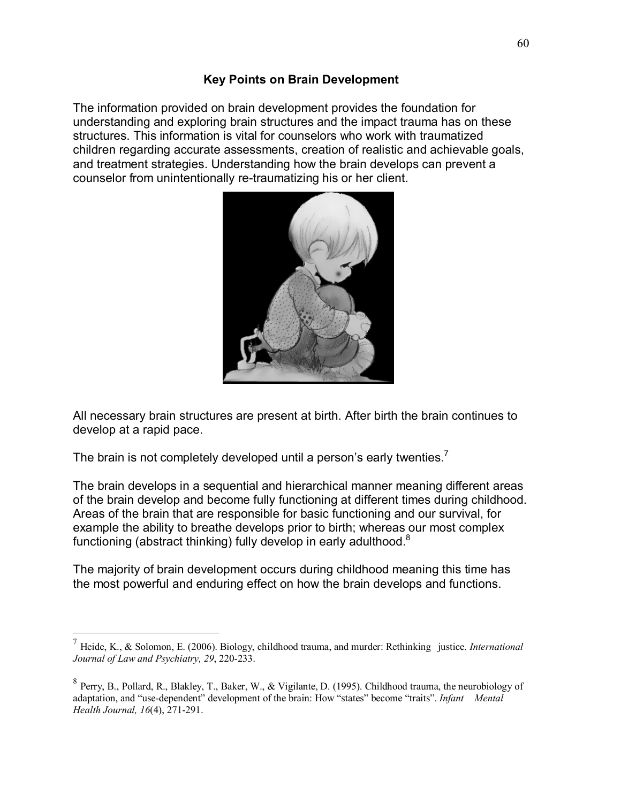## **Key Points on Brain Development**

The information provided on brain development provides the foundation for understanding and exploring brain structures and the impact trauma has on these structures. This information is vital for counselors who work with traumatized children regarding accurate assessments, creation of realistic and achievable goals, and treatment strategies. Understanding how the brain develops can prevent a counselor from unintentionally re-traumatizing his or her client.



All necessary brain structures are present at birth. After birth the brain continues to develop at a rapid pace.

The brain is not completely developed until a person's early twenties.<sup>7</sup>

 $\overline{a}$ 

The brain develops in a sequential and hierarchical manner meaning different areas of the brain develop and become fully functioning at different times during childhood. Areas of the brain that are responsible for basic functioning and our survival, for example the ability to breathe develops prior to birth; whereas our most complex functioning (abstract thinking) fully develop in early adulthood.<sup>8</sup>

The majority of brain development occurs during childhood meaning this time has the most powerful and enduring effect on how the brain develops and functions.

<sup>7</sup> Heide, K., & Solomon, E. (2006). Biology, childhood trauma, and murder: Rethinking justice. *International Journal of Law and Psychiatry, 29*, 220-233.

 $8$  Perry, B., Pollard, R., Blakley, T., Baker, W., & Vigilante, D. (1995). Childhood trauma, the neurobiology of adaptation, and "use-dependent" development of the brain: How "states" become "traits". *Infant Mental Health Journal, 16*(4), 271-291.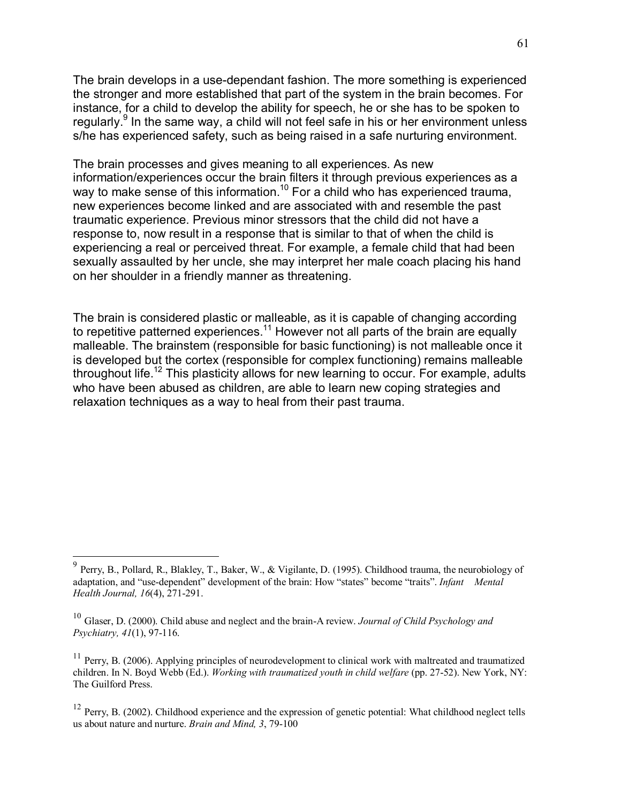The brain develops in a use-dependant fashion. The more something is experienced the stronger and more established that part of the system in the brain becomes. For instance, for a child to develop the ability for speech, he or she has to be spoken to regularly. $9$  In the same way, a child will not feel safe in his or her environment unless s/he has experienced safety, such as being raised in a safe nurturing environment.

The brain processes and gives meaning to all experiences. As new information/experiences occur the brain filters it through previous experiences as a way to make sense of this information.<sup>10</sup> For a child who has experienced trauma, new experiences become linked and are associated with and resemble the past traumatic experience. Previous minor stressors that the child did not have a response to, now result in a response that is similar to that of when the child is experiencing a real or perceived threat. For example, a female child that had been sexually assaulted by her uncle, she may interpret her male coach placing his hand on her shoulder in a friendly manner as threatening.

The brain is considered plastic or malleable, as it is capable of changing according to repetitive patterned experiences.<sup>11</sup> However not all parts of the brain are equally malleable. The brainstem (responsible for basic functioning) is not malleable once it is developed but the cortex (responsible for complex functioning) remains malleable throughout life.<sup>12</sup> This plasticity allows for new learning to occur. For example, adults who have been abused as children, are able to learn new coping strategies and relaxation techniques as a way to heal from their past trauma.

<sup>9</sup> Perry, B., Pollard, R., Blakley, T., Baker, W., & Vigilante, D. (1995). Childhood trauma, the neurobiology of adaptation, and "use-dependent" development of the brain: How "states" become "traits". *Infant Mental Health Journal, 16*(4), 271-291.

<sup>10</sup> Glaser, D. (2000). Child abuse and neglect and the brain-A review. *Journal of Child Psychology and Psychiatry, 41*(1), 97-116.

 $11$  Perry, B. (2006). Applying principles of neurodevelopment to clinical work with maltreated and traumatized children. In N. Boyd Webb (Ed.). *Working with traumatized youth in child welfare* (pp. 27-52). New York, NY: The Guilford Press.

 $12$  Perry, B. (2002). Childhood experience and the expression of genetic potential: What childhood neglect tells us about nature and nurture. *Brain and Mind, 3*, 79-100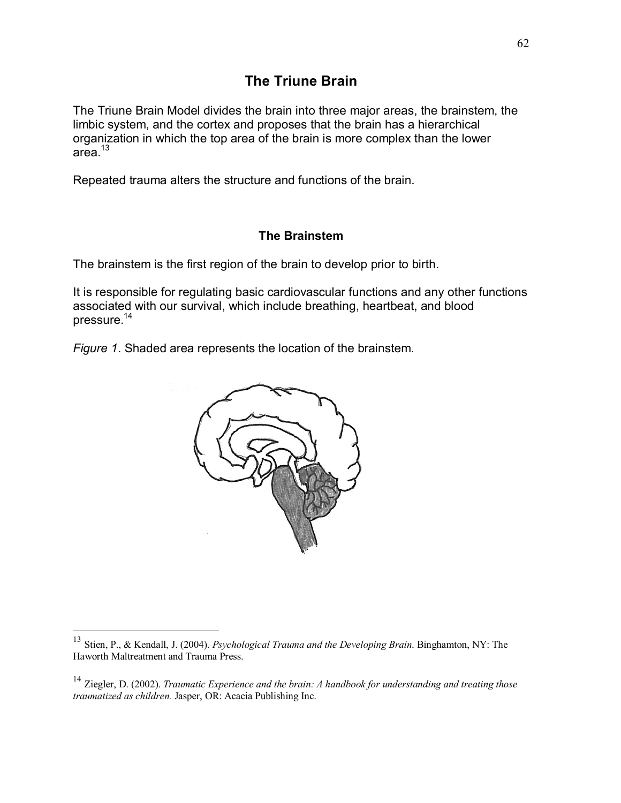The Triune Brain Model divides the brain into three major areas, the brainstem, the limbic system, and the cortex and proposes that the brain has a hierarchical organization in which the top area of the brain is more complex than the lower area.13

Repeated trauma alters the structure and functions of the brain.

# **The Brainstem**

The brainstem is the first region of the brain to develop prior to birth.

It is responsible for regulating basic cardiovascular functions and any other functions associated with our survival, which include breathing, heartbeat, and blood pressure.14

*Figure 1*. Shaded area represents the location of the brainstem.



1

<sup>13</sup> Stien, P., & Kendall, J. (2004). *Psychological Trauma and the Developing Brain*. Binghamton, NY: The Haworth Maltreatment and Trauma Press.

<sup>14</sup> Ziegler, D. (2002). *Traumatic Experience and the brain: A handbook for understanding and treating those traumatized as children.* Jasper, OR: Acacia Publishing Inc.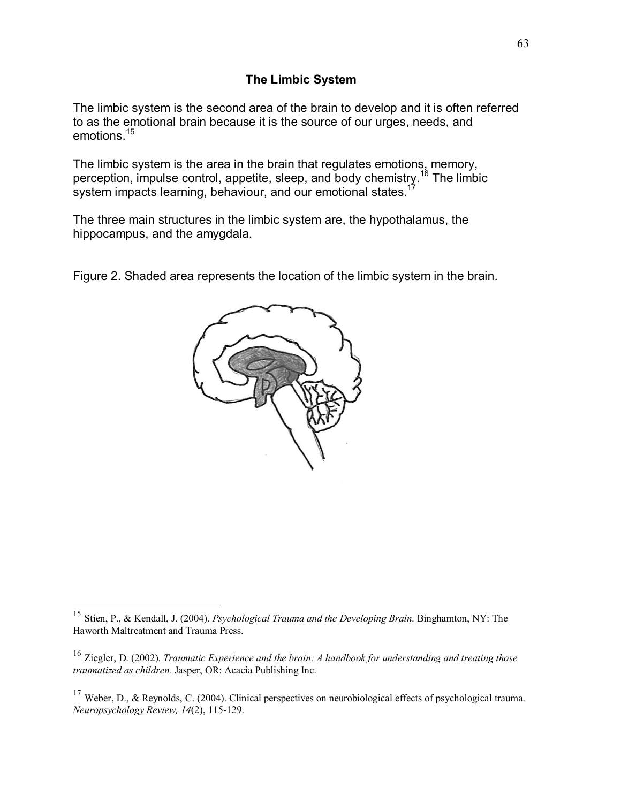## **The Limbic System**

The limbic system is the second area of the brain to develop and it is often referred to as the emotional brain because it is the source of our urges, needs, and emotions.<sup>15</sup>

The limbic system is the area in the brain that regulates emotions, memory, perception, impulse control, appetite, sleep, and body chemistry.16 The limbic system impacts learning, behaviour, and our emotional states.<sup>17</sup>

The three main structures in the limbic system are, the hypothalamus, the hippocampus, and the amygdala.

Figure 2. Shaded area represents the location of the limbic system in the brain.



<sup>15</sup> Stien, P., & Kendall, J. (2004). *Psychological Trauma and the Developing Brain*. Binghamton, NY: The Haworth Maltreatment and Trauma Press.

<sup>16</sup> Ziegler, D. (2002). *Traumatic Experience and the brain: A handbook for understanding and treating those traumatized as children.* Jasper, OR: Acacia Publishing Inc.

<sup>&</sup>lt;sup>17</sup> Weber, D., & Reynolds, C. (2004). Clinical perspectives on neurobiological effects of psychological trauma. *Neuropsychology Review, 14*(2), 115-129.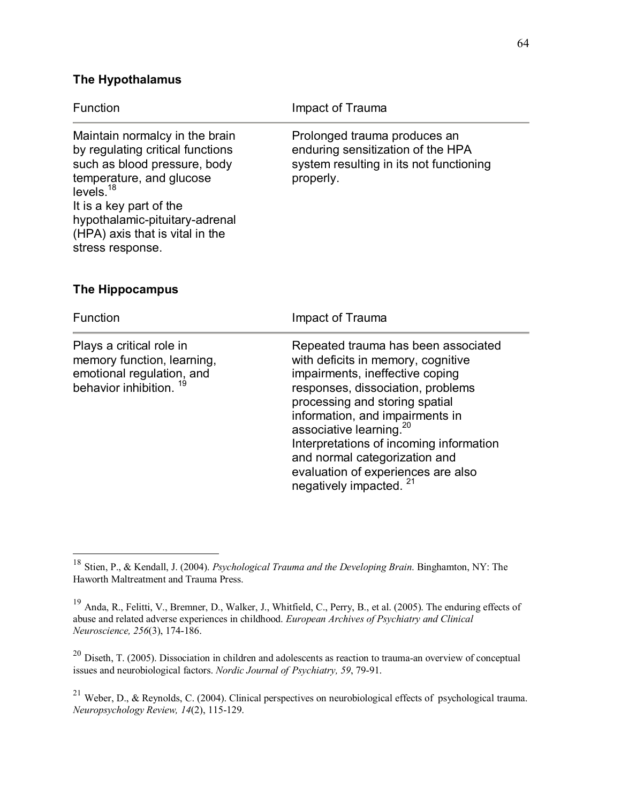## **The Hypothalamus**

 $\overline{a}$ 

| Function                                                                                                                                                                                                                                                                    | Impact of Trauma                                                                                                                                                                                                                                                                                         |
|-----------------------------------------------------------------------------------------------------------------------------------------------------------------------------------------------------------------------------------------------------------------------------|----------------------------------------------------------------------------------------------------------------------------------------------------------------------------------------------------------------------------------------------------------------------------------------------------------|
| Maintain normalcy in the brain<br>by regulating critical functions<br>such as blood pressure, body<br>temperature, and glucose<br>levels. <sup>18</sup><br>It is a key part of the<br>hypothalamic-pituitary-adrenal<br>(HPA) axis that is vital in the<br>stress response. | Prolonged trauma produces an<br>enduring sensitization of the HPA<br>system resulting in its not functioning<br>properly.                                                                                                                                                                                |
| The Hippocampus                                                                                                                                                                                                                                                             |                                                                                                                                                                                                                                                                                                          |
| Function                                                                                                                                                                                                                                                                    | Impact of Trauma                                                                                                                                                                                                                                                                                         |
| Plays a critical role in<br>memory function, learning,<br>emotional regulation, and<br>behavior inhibition. <sup>19</sup>                                                                                                                                                   | Repeated trauma has been associated<br>with deficits in memory, cognitive<br>impairments, ineffective coping<br>responses, dissociation, problems<br>processing and storing spatial<br>information, and impairments in<br>associative learning. <sup>20</sup><br>Interpretations of incoming information |

evaluation of experiences are also

negatively impacted. <sup>21</sup>

and normal categorization and

<sup>18</sup> Stien, P., & Kendall, J. (2004). *Psychological Trauma and the Developing Brain*. Binghamton, NY: The Haworth Maltreatment and Trauma Press.

<sup>19</sup> Anda, R., Felitti, V., Bremner, D., Walker, J., Whitfield, C., Perry, B., et al. (2005). The enduring effects of abuse and related adverse experiences in childhood. *European Archives of Psychiatry and Clinical Neuroscience, 256*(3), 174-186.

<sup>&</sup>lt;sup>20</sup> Diseth, T. (2005). Dissociation in children and adolescents as reaction to trauma-an overview of conceptual issues and neurobiological factors. *Nordic Journal of Psychiatry, 59*, 79-91.

<sup>21</sup> Weber, D., & Reynolds, C. (2004). Clinical perspectives on neurobiological effects of psychological trauma. *Neuropsychology Review, 14*(2), 115-129.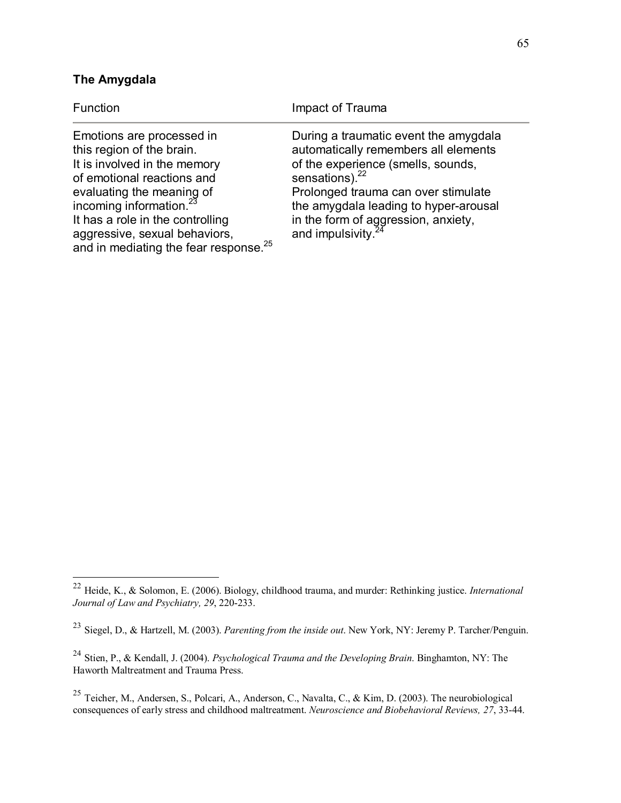# **The Amygdala**

| Function                                                                                                                                                                                                                                                                                                           | Impact of Trauma                                                                                                                                                                                                                                                                                     |
|--------------------------------------------------------------------------------------------------------------------------------------------------------------------------------------------------------------------------------------------------------------------------------------------------------------------|------------------------------------------------------------------------------------------------------------------------------------------------------------------------------------------------------------------------------------------------------------------------------------------------------|
| Emotions are processed in<br>this region of the brain.<br>It is involved in the memory<br>of emotional reactions and<br>evaluating the meaning of<br>incoming information. <sup>23</sup><br>It has a role in the controlling<br>aggressive, sexual behaviors,<br>and in mediating the fear response. <sup>25</sup> | During a traumatic event the amygdala<br>automatically remembers all elements<br>of the experience (smells, sounds,<br>sensations). $^{22}$<br>Prolonged trauma can over stimulate<br>the amygdala leading to hyper-arousal<br>in the form of aggression, anxiety,<br>and impulsivity. <sup>24</sup> |

<sup>22</sup> Heide, K., & Solomon, E. (2006). Biology, childhood trauma, and murder: Rethinking justice. *International Journal of Law and Psychiatry, 29*, 220-233.

<sup>23</sup> Siegel, D., & Hartzell, M. (2003). *Parenting from the inside out*. New York, NY: Jeremy P. Tarcher/Penguin.

<sup>24</sup> Stien, P., & Kendall, J. (2004). *Psychological Trauma and the Developing Brain*. Binghamton, NY: The Haworth Maltreatment and Trauma Press.

<sup>25</sup> Teicher, M., Andersen, S., Polcari, A., Anderson, C., Navalta, C., & Kim, D. (2003). The neurobiological consequences of early stress and childhood maltreatment. *Neuroscience and Biobehavioral Reviews, 27*, 33-44.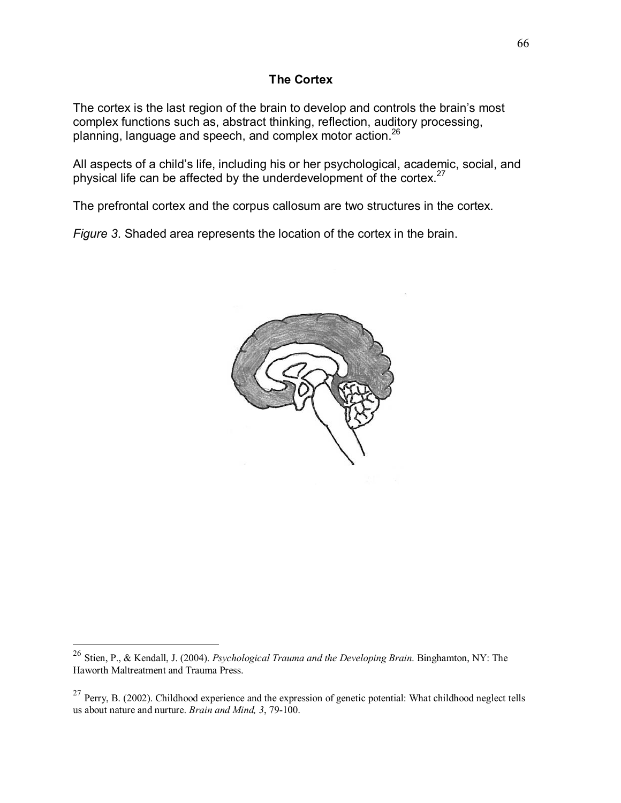### **The Cortex**

The cortex is the last region of the brain to develop and controls the brain's most complex functions such as, abstract thinking, reflection, auditory processing, planning, language and speech, and complex motor action.26

All aspects of a child's life, including his or her psychological, academic, social, and physical life can be affected by the underdevelopment of the cortex.27

The prefrontal cortex and the corpus callosum are two structures in the cortex.

*Figure 3*. Shaded area represents the location of the cortex in the brain.



<sup>26</sup> Stien, P., & Kendall, J. (2004). *Psychological Trauma and the Developing Brain*. Binghamton, NY: The Haworth Maltreatment and Trauma Press.

<sup>&</sup>lt;sup>27</sup> Perry, B. (2002). Childhood experience and the expression of genetic potential: What childhood neglect tells us about nature and nurture. *Brain and Mind, 3*, 79-100.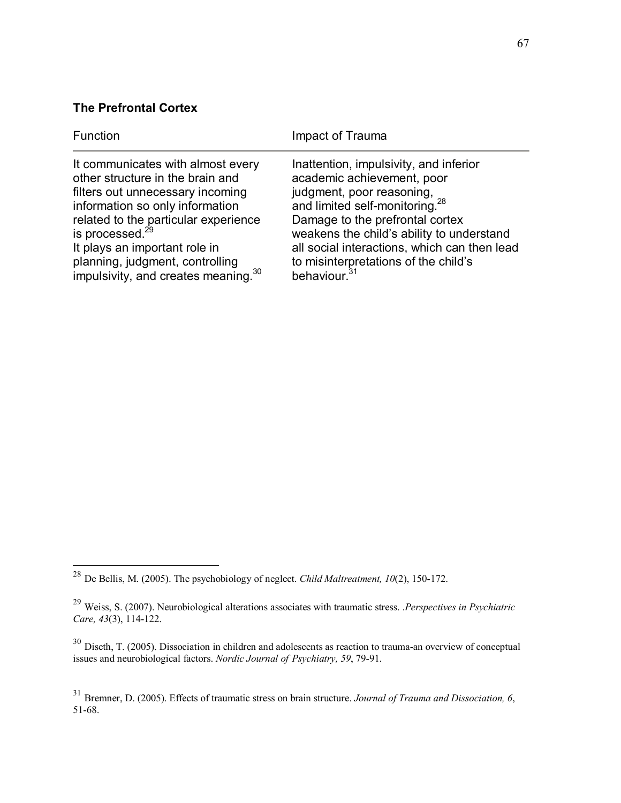# **The Prefrontal Cortex**

 $\overline{a}$ 

| Function                                        | Impact of Trauma                             |
|-------------------------------------------------|----------------------------------------------|
| It communicates with almost every               | Inattention, impulsivity, and inferior       |
| other structure in the brain and                | academic achievement, poor                   |
| filters out unnecessary incoming                | judgment, poor reasoning,                    |
| information so only information                 | and limited self-monitoring. <sup>28</sup>   |
| related to the particular experience            | Damage to the prefrontal cortex              |
| is processed. <sup>29</sup>                     | weakens the child's ability to understand    |
| It plays an important role in                   | all social interactions, which can then lead |
| planning, judgment, controlling                 | to misinterpretations of the child's         |
| impulsivity, and creates meaning. <sup>30</sup> | behaviour. <sup>31</sup>                     |

<sup>28</sup> De Bellis, M. (2005). The psychobiology of neglect. *Child Maltreatment, 10*(2), 150-172.

<sup>29</sup> Weiss, S. (2007). Neurobiological alterations associates with traumatic stress. .*Perspectives in Psychiatric Care, 43*(3), 114-122.

 $30$  Diseth, T. (2005). Dissociation in children and adolescents as reaction to trauma-an overview of conceptual issues and neurobiological factors. *Nordic Journal of Psychiatry, 59*, 79-91.

<sup>31</sup> Bremner, D. (2005). Effects of traumatic stress on brain structure. *Journal of Trauma and Dissociation, 6*, 51-68.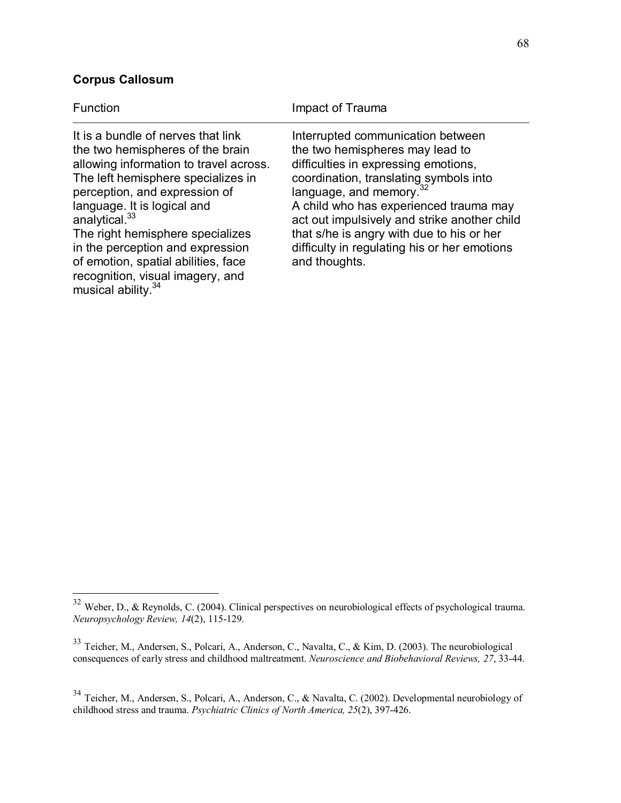# **Corpus Callosum**

| Function                                                                                                                                                                                                                                                                                                                                                                                                                                 | Impact of Trauma                                                                                                                                                                                                                                                                                                                                                                                      |
|------------------------------------------------------------------------------------------------------------------------------------------------------------------------------------------------------------------------------------------------------------------------------------------------------------------------------------------------------------------------------------------------------------------------------------------|-------------------------------------------------------------------------------------------------------------------------------------------------------------------------------------------------------------------------------------------------------------------------------------------------------------------------------------------------------------------------------------------------------|
| It is a bundle of nerves that link<br>the two hemispheres of the brain<br>allowing information to travel across.<br>The left hemisphere specializes in<br>perception, and expression of<br>language. It is logical and<br>analytical. <sup>33</sup><br>The right hemisphere specializes<br>in the perception and expression<br>of emotion, spatial abilities, face<br>recognition, visual imagery, and<br>musical ability. <sup>34</sup> | Interrupted communication between<br>the two hemispheres may lead to<br>difficulties in expressing emotions,<br>coordination, translating symbols into<br>language, and memory. <sup>32</sup><br>A child who has experienced trauma may<br>act out impulsively and strike another child<br>that s/he is angry with due to his or her<br>difficulty in regulating his or her emotions<br>and thoughts. |

 $32$  Weber, D., & Reynolds, C. (2004). Clinical perspectives on neurobiological effects of psychological trauma. *Neuropsychology Review, 14*(2), 115-129.

 $33$  Teicher, M., Andersen, S., Polcari, A., Anderson, C., Navalta, C., & Kim, D. (2003). The neurobiological consequences of early stress and childhood maltreatment. *Neuroscience and Biobehavioral Reviews, 27*, 33-44.

<sup>34</sup> Teicher, M., Andersen, S., Polcari, A., Anderson, C., & Navalta, C. (2002). Developmental neurobiology of childhood stress and trauma. *Psychiatric Clinics of North America, 25*(2), 397-426.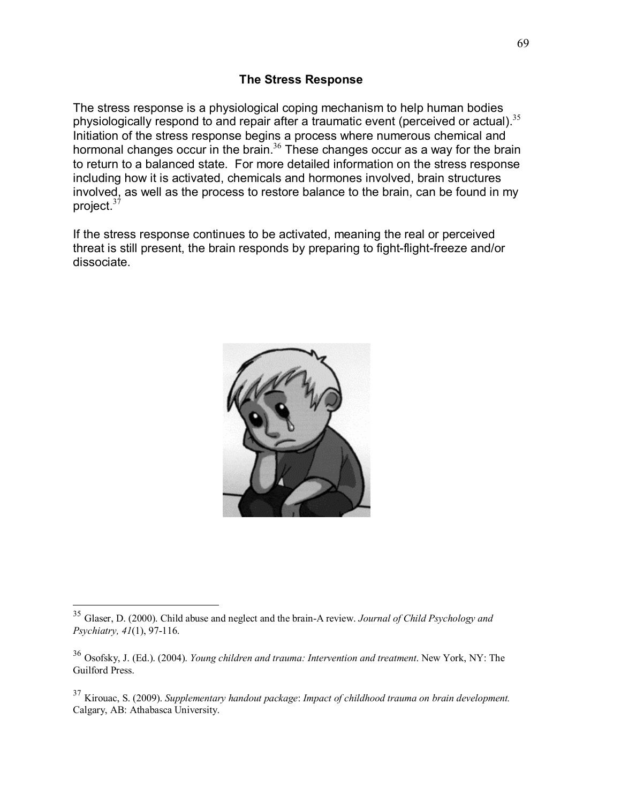### **The Stress Response**

The stress response is a physiological coping mechanism to help human bodies physiologically respond to and repair after a traumatic event (perceived or actual).<sup>35</sup> Initiation of the stress response begins a process where numerous chemical and hormonal changes occur in the brain.<sup>36</sup> These changes occur as a way for the brain to return to a balanced state. For more detailed information on the stress response including how it is activated, chemicals and hormones involved, brain structures involved, as well as the process to restore balance to the brain, can be found in my project.<sup>37</sup>

If the stress response continues to be activated, meaning the real or perceived threat is still present, the brain responds by preparing to fight-flight-freeze and/or dissociate.



<sup>35</sup> Glaser, D. (2000). Child abuse and neglect and the brain-A review. *Journal of Child Psychology and Psychiatry, 41*(1), 97-116.

<sup>36</sup> Osofsky, J. (Ed.). (2004). *Young children and trauma: Intervention and treatment*. New York, NY: The Guilford Press.

<sup>37</sup> Kirouac, S. (2009). *Supplementary handout package*: *Impact of childhood trauma on brain development.*  Calgary, AB: Athabasca University.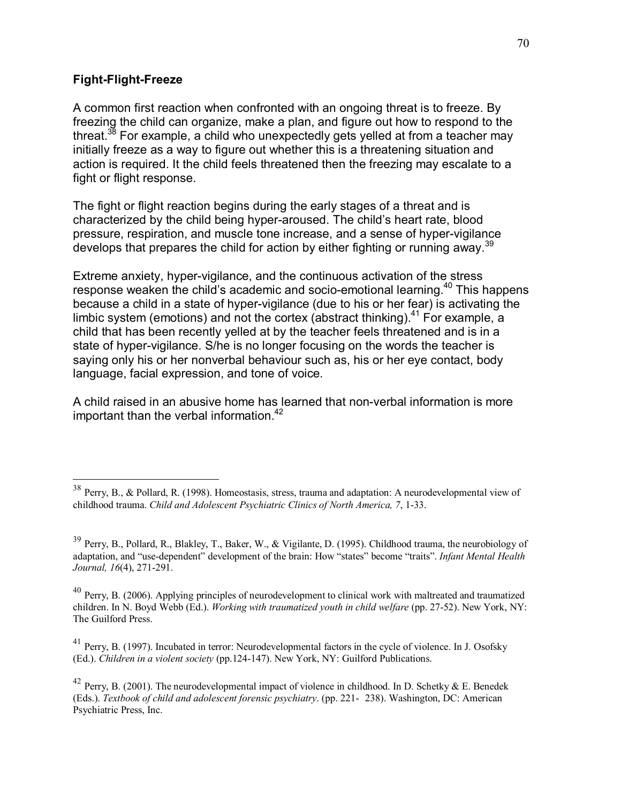### **Fight-Flight-Freeze**

<u>.</u>

A common first reaction when confronted with an ongoing threat is to freeze. By freezing the child can organize, make a plan, and figure out how to respond to the threat. $38$  For example, a child who unexpectedly gets yelled at from a teacher may initially freeze as a way to figure out whether this is a threatening situation and action is required. It the child feels threatened then the freezing may escalate to a fight or flight response.

The fight or flight reaction begins during the early stages of a threat and is characterized by the child being hyper-aroused. The child's heart rate, blood pressure, respiration, and muscle tone increase, and a sense of hyper-vigilance develops that prepares the child for action by either fighting or running away.<sup>39</sup>

Extreme anxiety, hyper-vigilance, and the continuous activation of the stress response weaken the child's academic and socio-emotional learning.<sup>40</sup> This happens because a child in a state of hyper-vigilance (due to his or her fear) is activating the limbic system (emotions) and not the cortex (abstract thinking).<sup>41</sup> For example, a child that has been recently yelled at by the teacher feels threatened and is in a state of hyper-vigilance. S/he is no longer focusing on the words the teacher is saying only his or her nonverbal behaviour such as, his or her eye contact, body language, facial expression, and tone of voice.

A child raised in an abusive home has learned that non-verbal information is more important than the verbal information.<sup>42</sup>

 $38$  Perry, B., & Pollard, R. (1998). Homeostasis, stress, trauma and adaptation: A neurodevelopmental view of childhood trauma. *Child and Adolescent Psychiatric Clinics of North America, 7*, 1-33.

 $39$  Perry, B., Pollard, R., Blakley, T., Baker, W., & Vigilante, D. (1995). Childhood trauma, the neurobiology of adaptation, and "use-dependent" development of the brain: How "states" become "traits". *Infant Mental Health Journal, 16*(4), 271-291.

<sup>&</sup>lt;sup>40</sup> Perry, B. (2006). Applying principles of neurodevelopment to clinical work with maltreated and traumatized children. In N. Boyd Webb (Ed.). *Working with traumatized youth in child welfare* (pp. 27-52). New York, NY: The Guilford Press.

<sup>&</sup>lt;sup>41</sup> Perry, B. (1997). Incubated in terror: Neurodevelopmental factors in the cycle of violence. In J. Osofsky (Ed.). *Children in a violent society* (pp.124-147). New York, NY: Guilford Publications.

<sup>&</sup>lt;sup>42</sup> Perry, B. (2001). The neurodevelopmental impact of violence in childhood. In D. Schetky & E. Benedek (Eds.). *Textbook of child and adolescent forensic psychiatry*. (pp. 221- 238). Washington, DC: American Psychiatric Press, Inc.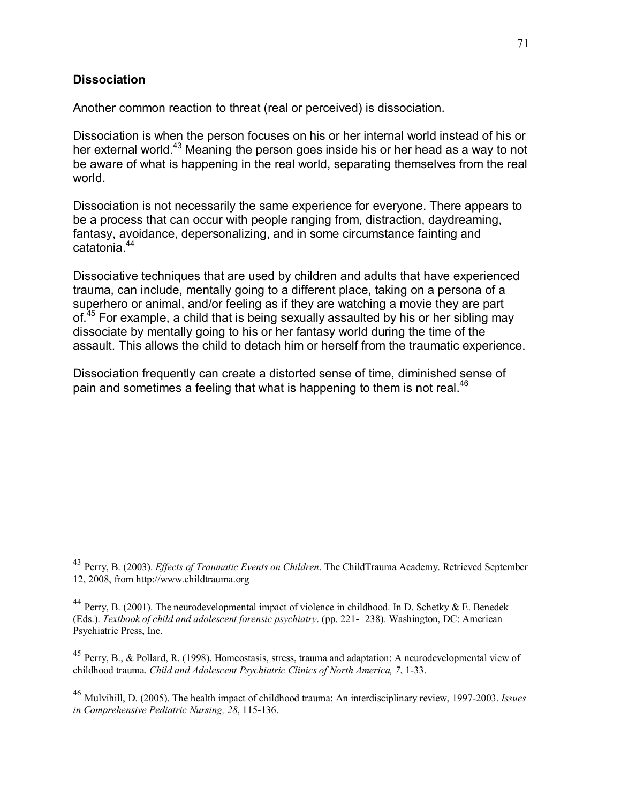### **Dissociation**

 $\overline{a}$ 

Another common reaction to threat (real or perceived) is dissociation.

Dissociation is when the person focuses on his or her internal world instead of his or her external world.<sup>43</sup> Meaning the person goes inside his or her head as a way to not be aware of what is happening in the real world, separating themselves from the real world.

Dissociation is not necessarily the same experience for everyone. There appears to be a process that can occur with people ranging from, distraction, daydreaming, fantasy, avoidance, depersonalizing, and in some circumstance fainting and catatonia.44

Dissociative techniques that are used by children and adults that have experienced trauma, can include, mentally going to a different place, taking on a persona of a superhero or animal, and/or feeling as if they are watching a movie they are part of.<sup>45</sup> For example, a child that is being sexually assaulted by his or her sibling may dissociate by mentally going to his or her fantasy world during the time of the assault. This allows the child to detach him or herself from the traumatic experience.

Dissociation frequently can create a distorted sense of time, diminished sense of pain and sometimes a feeling that what is happening to them is not real.<sup>46</sup>

<sup>43</sup> Perry, B. (2003). *Effects of Traumatic Events on Children*. The ChildTrauma Academy. Retrieved September 12, 2008, from http://www.childtrauma.org

<sup>44</sup> Perry, B. (2001). The neurodevelopmental impact of violence in childhood. In D. Schetky & E. Benedek (Eds.). *Textbook of child and adolescent forensic psychiatry*. (pp. 221- 238). Washington, DC: American Psychiatric Press, Inc.

 $^{45}$  Perry, B., & Pollard, R. (1998). Homeostasis, stress, trauma and adaptation: A neurodevelopmental view of childhood trauma. *Child and Adolescent Psychiatric Clinics of North America, 7*, 1-33.

<sup>46</sup> Mulvihill, D. (2005). The health impact of childhood trauma: An interdisciplinary review, 1997-2003. *Issues in Comprehensive Pediatric Nursing, 28*, 115-136.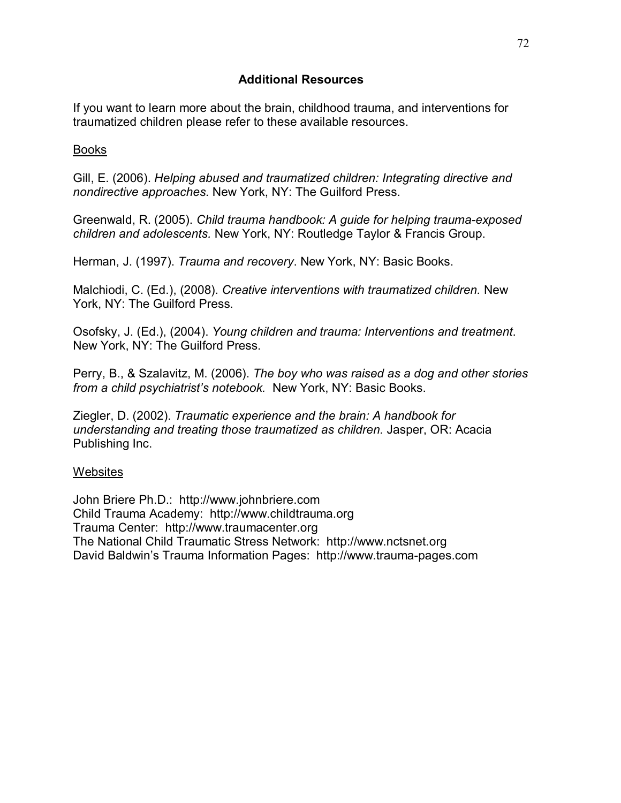### **Additional Resources**

If you want to learn more about the brain, childhood trauma, and interventions for traumatized children please refer to these available resources.

## Books

Gill, E. (2006). *Helping abused and traumatized children: Integrating directive and nondirective approaches.* New York, NY: The Guilford Press.

Greenwald, R. (2005). *Child trauma handbook: A guide for helping trauma-exposed children and adolescents.* New York, NY: Routledge Taylor & Francis Group.

Herman, J. (1997). *Trauma and recovery*. New York, NY: Basic Books.

Malchiodi, C. (Ed.), (2008). *Creative interventions with traumatized children.* New York, NY: The Guilford Press.

Osofsky, J. (Ed.), (2004). *Young children and trauma: Interventions and treatment*. New York, NY: The Guilford Press.

Perry, B., & Szalavitz, M. (2006). *The boy who was raised as a dog and other stories from a child psychiatristís notebook.* New York, NY: Basic Books.

Ziegler, D. (2002). *Traumatic experience and the brain: A handbook for understanding and treating those traumatized as children.* Jasper, OR: Acacia Publishing Inc.

### Websites

John Briere Ph.D.: http://www.johnbriere.com Child Trauma Academy: http://www.childtrauma.org Trauma Center: http://www.traumacenter.org The National Child Traumatic Stress Network: http://www.nctsnet.org David Baldwinís Trauma Information Pages: http://www.trauma-pages.com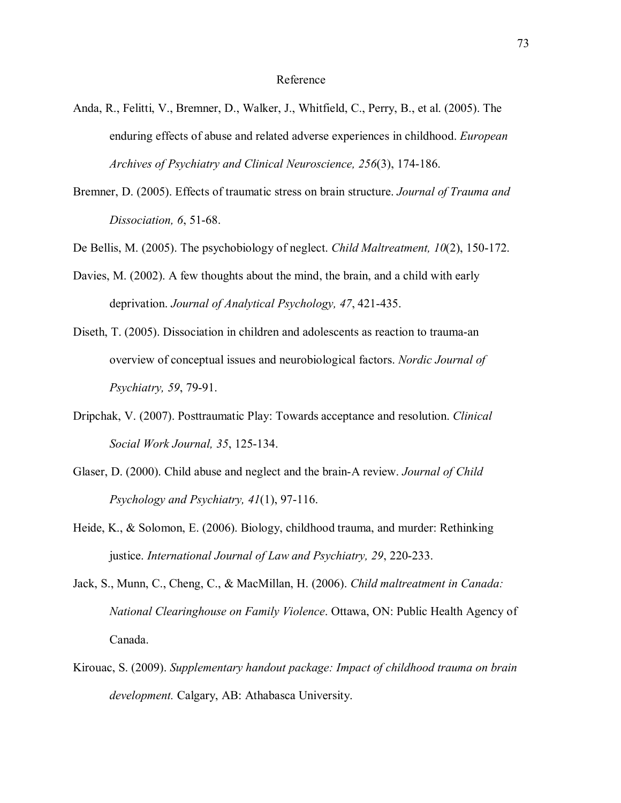- Anda, R., Felitti, V., Bremner, D., Walker, J., Whitfield, C., Perry, B., et al. (2005). The enduring effects of abuse and related adverse experiences in childhood. *European Archives of Psychiatry and Clinical Neuroscience, 256*(3), 174-186.
- Bremner, D. (2005). Effects of traumatic stress on brain structure. *Journal of Trauma and Dissociation, 6*, 51-68.

De Bellis, M. (2005). The psychobiology of neglect. *Child Maltreatment, 10*(2), 150-172.

- Davies, M. (2002). A few thoughts about the mind, the brain, and a child with early deprivation. *Journal of Analytical Psychology, 47*, 421-435.
- Diseth, T. (2005). Dissociation in children and adolescents as reaction to trauma-an overview of conceptual issues and neurobiological factors. *Nordic Journal of Psychiatry, 59*, 79-91.
- Dripchak, V. (2007). Posttraumatic Play: Towards acceptance and resolution. *Clinical Social Work Journal, 35*, 125-134.
- Glaser, D. (2000). Child abuse and neglect and the brain-A review. *Journal of Child Psychology and Psychiatry, 41*(1), 97-116.
- Heide, K., & Solomon, E. (2006). Biology, childhood trauma, and murder: Rethinking justice. *International Journal of Law and Psychiatry, 29*, 220-233.
- Jack, S., Munn, C., Cheng, C., & MacMillan, H. (2006). *Child maltreatment in Canada: National Clearinghouse on Family Violence*. Ottawa, ON: Public Health Agency of Canada.
- Kirouac, S. (2009). *Supplementary handout package: Impact of childhood trauma on brain development.* Calgary, AB: Athabasca University.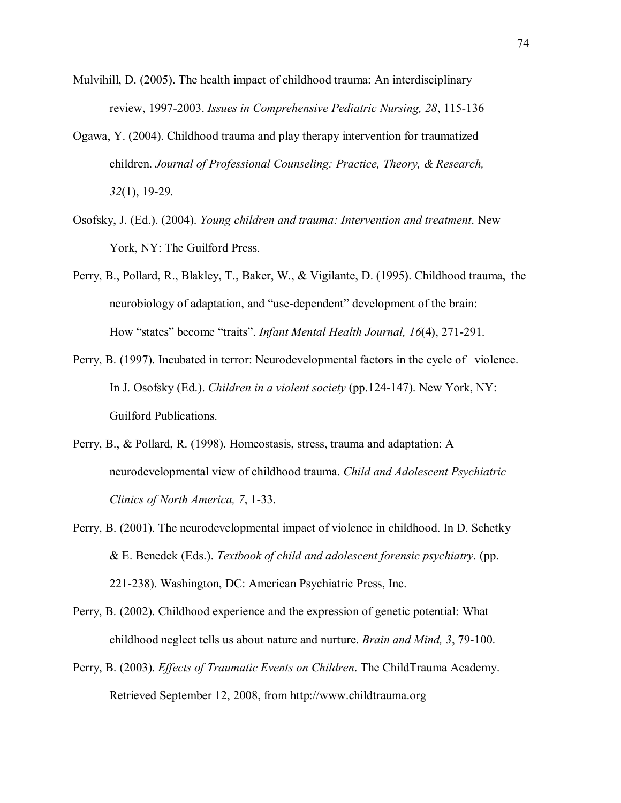- Mulvihill, D. (2005). The health impact of childhood trauma: An interdisciplinary review, 1997-2003. *Issues in Comprehensive Pediatric Nursing, 28*, 115-136
- Ogawa, Y. (2004). Childhood trauma and play therapy intervention for traumatized children. *Journal of Professional Counseling: Practice, Theory, & Research, 32*(1), 19-29.
- Osofsky, J. (Ed.). (2004). *Young children and trauma: Intervention and treatment*. New York, NY: The Guilford Press.
- Perry, B., Pollard, R., Blakley, T., Baker, W., & Vigilante, D. (1995). Childhood trauma, the neurobiology of adaptation, and "use-dependent" development of the brain: How "states" become "traits". *Infant Mental Health Journal, 16*(4), 271-291.
- Perry, B. (1997). Incubated in terror: Neurodevelopmental factors in the cycle of violence. In J. Osofsky (Ed.). *Children in a violent society* (pp.124-147). New York, NY: Guilford Publications.
- Perry, B., & Pollard, R. (1998). Homeostasis, stress, trauma and adaptation: A neurodevelopmental view of childhood trauma. *Child and Adolescent Psychiatric Clinics of North America, 7*, 1-33.
- Perry, B. (2001). The neurodevelopmental impact of violence in childhood. In D. Schetky & E. Benedek (Eds.). *Textbook of child and adolescent forensic psychiatry*. (pp. 221-238). Washington, DC: American Psychiatric Press, Inc.
- Perry, B. (2002). Childhood experience and the expression of genetic potential: What childhood neglect tells us about nature and nurture. *Brain and Mind, 3*, 79-100.
- Perry, B. (2003). *Effects of Traumatic Events on Children*. The ChildTrauma Academy. Retrieved September 12, 2008, from http://www.childtrauma.org